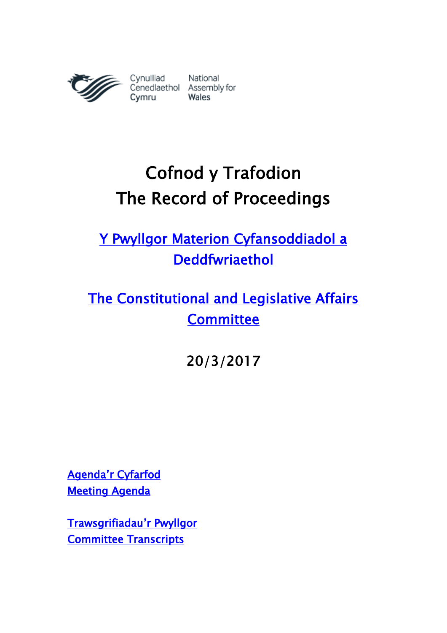

# Cofnod y Trafodion The Record of Proceedings

[Y Pwyllgor Materion Cyfansoddiadol a](http://www.senedd.cynulliad.cymru/mgCommitteeDetails.aspx?ID=434)  [Deddfwriaethol](http://www.senedd.cynulliad.cymru/mgCommitteeDetails.aspx?ID=434) 

[The Constitutional and Legislative Affairs](http://www.senedd.assembly.wales/mgCommitteeDetails.aspx?ID=434)  **Committee** 

20/3/2017

[Agenda'r](http://www.senedd.cynulliad.cymru/ieListDocuments.aspx?CId=434&MId=3900&Ver=4) Cyfarfod [Meeting Agenda](http://senedd.assembly.wales/ieListDocuments.aspx?CId=434&MId=3900&Ver=4) 

[Trawsgrifiadau](http://www.senedd.cynulliad.cymru/mgIssueHistoryHome.aspx?IId=15034)'r Pwyllgor [Committee Transcripts](http://www.senedd.assembly.wales/mgIssueHistoryHome.aspx?IId=15034)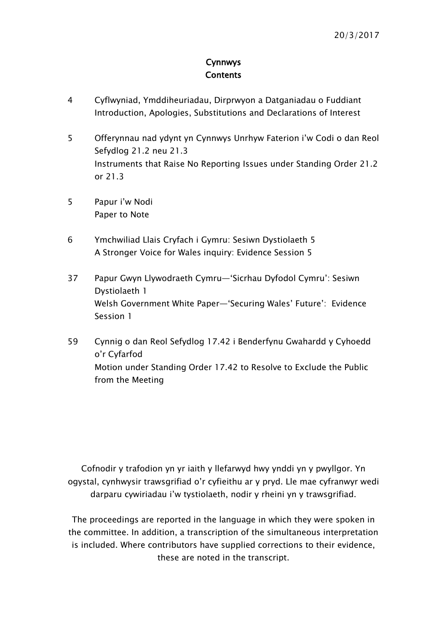### Cynnwys **Contents**

- [4](#page-3-0) [Cyflwyniad, Ymddiheuriadau, Dirprwyon a Datganiadau o Fuddiant](#page-3-0)  [Introduction, Apologies, Substitutions and Declarations of Interest](#page-3-0)
- 5 Offerynnau nad [ydynt yn Cynnwys Unrhyw Faterion i'w Codi o dan Reol](#page-4-0)  [Sefydlog 21.2 neu 21.3](#page-4-0) [Instruments that Raise No Reporting Issues under Standing Order 21.2](#page-4-0)  [or 21.3](#page-4-0)
- 5 [Papur i'w Nodi](#page-4-1) [Paper to Note](#page-4-1)
- 6 [Ymchwiliad Llais Cryfach i Gymru: Sesiwn Dystiolaeth 5](#page-5-0) [A Stronger Voice for Wales inquiry: Evidence Session 5](#page-5-0)
- 37 Papur Gwyn Llywodraeth Cymru[—'Sicrhau Dyfodol Cymru': Sesiwn](#page-36-0)  [Dystiolaeth 1](#page-36-0) Welsh Government White Paper[—'Securing Wales' Future': Evidence](#page-36-0)  [Session 1](#page-36-0)
- 59 [Cynnig o dan Reol Sefydlog 17.42 i Benderfynu Gwahardd y Cyhoedd](#page-58-0)  [o'r Cyfarfod](#page-58-0) Motion [under Standing Order 17.42 to Resolve to Exclude the Public](#page-58-0)  [from the Meeting](#page-58-0)

Cofnodir y trafodion yn yr iaith y llefarwyd hwy ynddi yn y pwyllgor. Yn ogystal, cynhwysir trawsgrifiad o'r cyfieithu ar y pryd. Lle mae cyfranwyr wedi darparu cywiriadau i'w tystiolaeth, nodir y rheini yn y trawsgrifiad.

The proceedings are reported in the language in which they were spoken in the committee. In addition, a transcription of the simultaneous interpretation is included. Where contributors have supplied corrections to their evidence, these are noted in the transcript.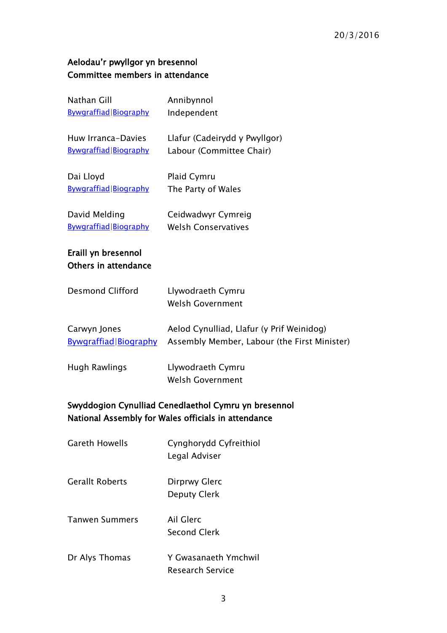## Aelodau'r pwyllgor yn bresennol Committee members in attendance

| <b>Nathan Gill</b><br>Bywgraffiad Biography                                                                 | Annibynnol<br>Independent                                                                 |
|-------------------------------------------------------------------------------------------------------------|-------------------------------------------------------------------------------------------|
| Huw Irranca-Davies<br>Bywgraffiad Biography                                                                 | Llafur (Cadeirydd y Pwyllgor)<br>Labour (Committee Chair)                                 |
| Dai Lloyd<br>Bywgraffiad Biography                                                                          | Plaid Cymru<br>The Party of Wales                                                         |
| David Melding<br>Bywgraffiad Biography                                                                      | Ceidwadwyr Cymreig<br><b>Welsh Conservatives</b>                                          |
| Eraill yn bresennol<br><b>Others in attendance</b>                                                          |                                                                                           |
| <b>Desmond Clifford</b>                                                                                     | Llywodraeth Cymru<br><b>Welsh Government</b>                                              |
| Carwyn Jones<br><b>Bywgraffiad Biography</b>                                                                | Aelod Cynulliad, Llafur (y Prif Weinidog)<br>Assembly Member, Labour (the First Minister) |
| <b>Hugh Rawlings</b>                                                                                        | Llywodraeth Cymru<br><b>Welsh Government</b>                                              |
| Swyddogion Cynulliad Cenedlaethol Cymru yn bresennol<br>National Assembly for Wales officials in attendance |                                                                                           |
| <b>Gareth Howells</b>                                                                                       | Cynghorydd Cyfreithiol<br>Legal Adviser                                                   |
| <b>Gerallt Roberts</b>                                                                                      | Dirprwy Glerc<br><b>Deputy Clerk</b>                                                      |
| Tanwen Summers                                                                                              | Ail Glerc<br><b>Second Clerk</b>                                                          |
|                                                                                                             |                                                                                           |

Dr Alys Thomas Y Gwasanaeth Ymchwil Research Service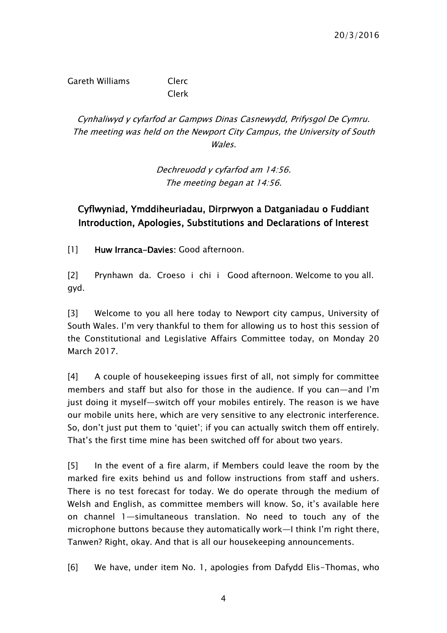Gareth Williams Clerc Clerk

Cynhaliwyd y cyfarfod ar Gampws Dinas Casnewydd, Prifysgol De Cymru. The meeting was held on the Newport City Campus, the University of South Wales.

> Dechreuodd y cyfarfod am 14:56. The meeting began at 14:56.

### <span id="page-3-0"></span>Cyflwyniad, Ymddiheuriadau, Dirprwyon a Datganiadau o Fuddiant Introduction, Apologies, Substitutions and Declarations of Interest

[1] Huw Irranca-Davies: Good afternoon.

[2] Prynhawn da. Croeso i chi i Good afternoon. Welcome to you all. gyd.

[3] Welcome to you all here today to Newport city campus, University of South Wales. I'm very thankful to them for allowing us to host this session of the Constitutional and Legislative Affairs Committee today, on Monday 20 March 2017.

[4] A couple of housekeeping issues first of all, not simply for committee members and staff but also for those in the audience. If you can—and I'm just doing it myself—switch off your mobiles entirely. The reason is we have our mobile units here, which are very sensitive to any electronic interference. So, don't just put them to 'quiet'; if you can actually switch them off entirely. That's the first time mine has been switched off for about two years.

[5] In the event of a fire alarm, if Members could leave the room by the marked fire exits behind us and follow instructions from staff and ushers. There is no test forecast for today. We do operate through the medium of Welsh and English, as committee members will know. So, it's available here on channel 1—simultaneous translation. No need to touch any of the microphone buttons because they automatically work—I think I'm right there, Tanwen? Right, okay. And that is all our housekeeping announcements.

[6] We have, under item No. 1, apologies from Dafydd Elis-Thomas, who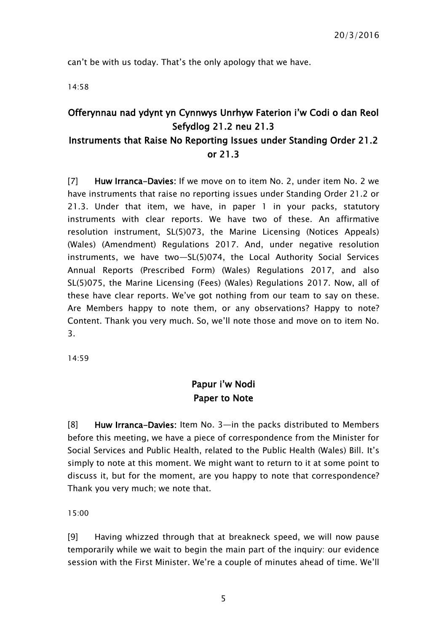can't be with us today. That's the only apology that we have.

14:58

# <span id="page-4-0"></span>Offerynnau nad ydynt yn Cynnwys Unrhyw Faterion i'w Codi o dan Reol Sefydlog 21.2 neu 21.3

### Instruments that Raise No Reporting Issues under Standing Order 21.2 or 21.3

[7] Huw Irranca-Davies: If we move on to item No. 2, under item No. 2 we have instruments that raise no reporting issues under Standing Order 21.2 or 21.3. Under that item, we have, in paper 1 in your packs, statutory instruments with clear reports. We have two of these. An affirmative resolution instrument, SL(5)073, the Marine Licensing (Notices Appeals) (Wales) (Amendment) Regulations 2017. And, under negative resolution instruments, we have two—SL(5)074, the Local Authority Social Services Annual Reports (Prescribed Form) (Wales) Regulations 2017, and also SL(5)075, the Marine Licensing (Fees) (Wales) Regulations 2017. Now, all of these have clear reports. We've got nothing from our team to say on these. Are Members happy to note them, or any observations? Happy to note? Content. Thank you very much. So, we'll note those and move on to item No. 3.

<span id="page-4-1"></span>14:59

# Papur i'w Nodi Paper to Note

[8] Huw Irranca-Davies: Item No. 3—in the packs distributed to Members before this meeting, we have a piece of correspondence from the Minister for Social Services and Public Health, related to the Public Health (Wales) Bill. It's simply to note at this moment. We might want to return to it at some point to discuss it, but for the moment, are you happy to note that correspondence? Thank you very much; we note that.

15:00

[9] Having whizzed through that at breakneck speed, we will now pause temporarily while we wait to begin the main part of the inquiry: our evidence session with the First Minister. We're a couple of minutes ahead of time. We'll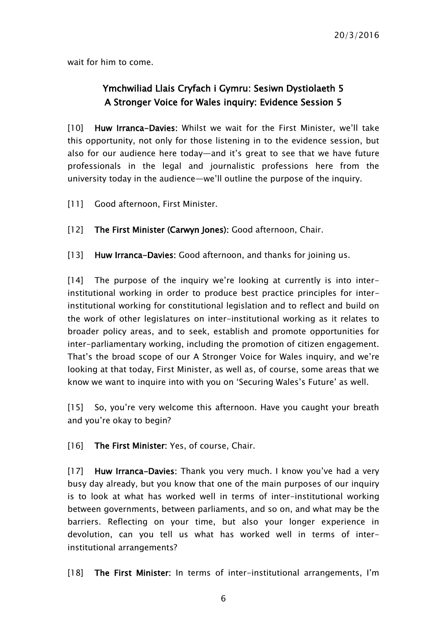<span id="page-5-0"></span>wait for him to come.

### Ymchwiliad Llais Cryfach i Gymru: Sesiwn Dystiolaeth 5 A Stronger Voice for Wales inquiry: Evidence Session 5

[10] Huw Irranca-Davies: Whilst we wait for the First Minister, we'll take this opportunity, not only for those listening in to the evidence session, but also for our audience here today—and it's great to see that we have future professionals in the legal and journalistic professions here from the university today in the audience—we'll outline the purpose of the inquiry.

- [11] Good afternoon, First Minister.
- [12] The First Minister (Carwyn Jones): Good afternoon, Chair.
- [13] Huw Irranca-Davies: Good afternoon, and thanks for joining us.

[14] The purpose of the inquiry we're looking at currently is into interinstitutional working in order to produce best practice principles for interinstitutional working for constitutional legislation and to reflect and build on the work of other legislatures on inter-institutional working as it relates to broader policy areas, and to seek, establish and promote opportunities for inter-parliamentary working, including the promotion of citizen engagement. That's the broad scope of our A Stronger Voice for Wales inquiry, and we're looking at that today, First Minister, as well as, of course, some areas that we know we want to inquire into with you on 'Securing Wales's Future' as well.

[15] So, you're very welcome this afternoon. Have you caught your breath and you're okay to begin?

[16] The First Minister: Yes, of course, Chair.

[17] Huw Irranca-Davies: Thank you very much. I know you've had a very busy day already, but you know that one of the main purposes of our inquiry is to look at what has worked well in terms of inter-institutional working between governments, between parliaments, and so on, and what may be the barriers. Reflecting on your time, but also your longer experience in devolution, can you tell us what has worked well in terms of interinstitutional arrangements?

[18] The First Minister: In terms of inter-institutional arrangements, I'm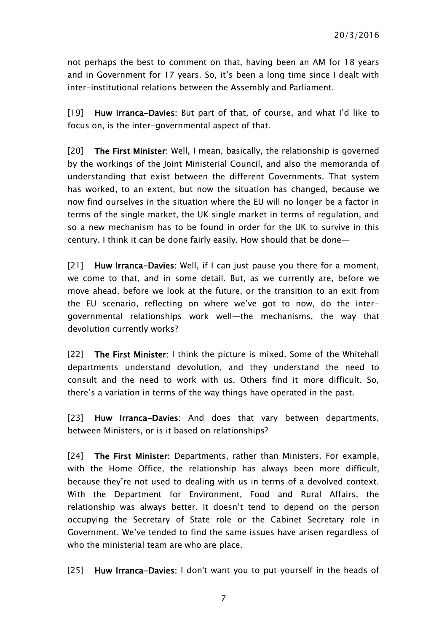not perhaps the best to comment on that, having been an AM for 18 years and in Government for 17 years. So, it's been a long time since I dealt with inter-institutional relations between the Assembly and Parliament.

[19] Huw Irranca-Davies: But part of that, of course, and what I'd like to focus on, is the inter-governmental aspect of that.

[20] The First Minister: Well, I mean, basically, the relationship is governed by the workings of the Joint Ministerial Council, and also the memoranda of understanding that exist between the different Governments. That system has worked, to an extent, but now the situation has changed, because we now find ourselves in the situation where the EU will no longer be a factor in terms of the single market, the UK single market in terms of regulation, and so a new mechanism has to be found in order for the UK to survive in this century. I think it can be done fairly easily. How should that be done—

[21] Huw Irranca-Davies: Well, if I can just pause you there for a moment, we come to that, and in some detail. But, as we currently are, before we move ahead, before we look at the future, or the transition to an exit from the EU scenario, reflecting on where we've got to now, do the intergovernmental relationships work well—the mechanisms, the way that devolution currently works?

[22] The First Minister: I think the picture is mixed. Some of the Whitehall departments understand devolution, and they understand the need to consult and the need to work with us. Others find it more difficult. So, there's a variation in terms of the way things have operated in the past.

[23] Huw Irranca-Davies: And does that vary between departments, between Ministers, or is it based on relationships?

[24] The First Minister: Departments, rather than Ministers. For example, with the Home Office, the relationship has always been more difficult, because they're not used to dealing with us in terms of a devolved context. With the Department for Environment, Food and Rural Affairs, the relationship was always better. It doesn't tend to depend on the person occupying the Secretary of State role or the Cabinet Secretary role in Government. We've tended to find the same issues have arisen regardless of who the ministerial team are who are place.

[25] Huw Irranca-Davies: I don't want you to put yourself in the heads of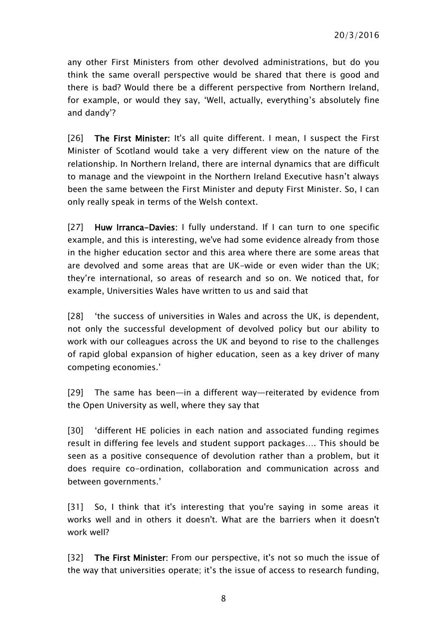any other First Ministers from other devolved administrations, but do you think the same overall perspective would be shared that there is good and there is bad? Would there be a different perspective from Northern Ireland, for example, or would they say, 'Well, actually, everything's absolutely fine and dandy'?

[26] The First Minister: It's all quite different. I mean, I suspect the First Minister of Scotland would take a very different view on the nature of the relationship. In Northern Ireland, there are internal dynamics that are difficult to manage and the viewpoint in the Northern Ireland Executive hasn't always been the same between the First Minister and deputy First Minister. So, I can only really speak in terms of the Welsh context.

[27] Huw Irranca-Davies: I fully understand. If I can turn to one specific example, and this is interesting, we've had some evidence already from those in the higher education sector and this area where there are some areas that are devolved and some areas that are UK-wide or even wider than the UK; they're international, so areas of research and so on. We noticed that, for example, Universities Wales have written to us and said that

[28] 'the success of universities in Wales and across the UK, is dependent, not only the successful development of devolved policy but our ability to work with our colleagues across the UK and beyond to rise to the challenges of rapid global expansion of higher education, seen as a key driver of many competing economies.'

[29] The same has been—in a different way—reiterated by evidence from the Open University as well, where they say that

[30] 'different HE policies in each nation and associated funding regimes result in differing fee levels and student support packages…. This should be seen as a positive consequence of devolution rather than a problem, but it does require co-ordination, collaboration and communication across and between governments.'

[31] So, I think that it's interesting that you're saying in some areas it works well and in others it doesn't. What are the barriers when it doesn't work well?

[32] The First Minister: From our perspective, it's not so much the issue of the way that universities operate; it's the issue of access to research funding,

8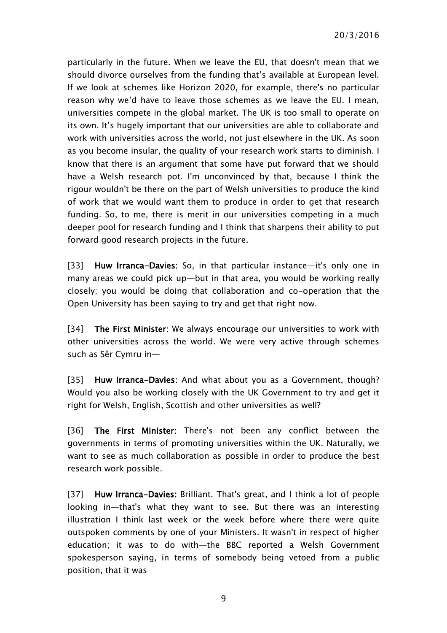particularly in the future. When we leave the EU, that doesn't mean that we should divorce ourselves from the funding that's available at European level. If we look at schemes like Horizon 2020, for example, there's no particular reason why we'd have to leave those schemes as we leave the EU. I mean, universities compete in the global market. The UK is too small to operate on its own. It's hugely important that our universities are able to collaborate and work with universities across the world, not just elsewhere in the UK. As soon as you become insular, the quality of your research work starts to diminish. I know that there is an argument that some have put forward that we should have a Welsh research pot. I'm unconvinced by that, because I think the rigour wouldn't be there on the part of Welsh universities to produce the kind of work that we would want them to produce in order to get that research funding. So, to me, there is merit in our universities competing in a much deeper pool for research funding and I think that sharpens their ability to put forward good research projects in the future.

[33] Huw Irranca-Davies: So, in that particular instance—it's only one in many areas we could pick up—but in that area, you would be working really closely; you would be doing that collaboration and co-operation that the Open University has been saying to try and get that right now.

[34] The First Minister: We always encourage our universities to work with other universities across the world. We were very active through schemes such as Sêr Cymru in—

[35] Huw Irranca-Davies: And what about you as a Government, though? Would you also be working closely with the UK Government to try and get it right for Welsh, English, Scottish and other universities as well?

[36] The First Minister: There's not been any conflict between the governments in terms of promoting universities within the UK. Naturally, we want to see as much collaboration as possible in order to produce the best research work possible.

[37] Huw Irranca-Davies: Brilliant. That's great, and I think a lot of people looking in—that's what they want to see. But there was an interesting illustration I think last week or the week before where there were quite outspoken comments by one of your Ministers. It wasn't in respect of higher education; it was to do with—the BBC reported a Welsh Government spokesperson saying, in terms of somebody being vetoed from a public position, that it was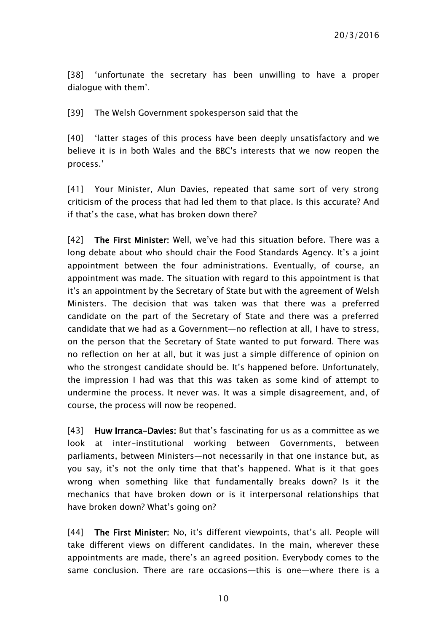[38] 'unfortunate the secretary has been unwilling to have a proper dialogue with them'.

[39] The Welsh Government spokesperson said that the

[40] 'latter stages of this process have been deeply unsatisfactory and we believe it is in both Wales and the BBC's interests that we now reopen the process.'

[41] Your Minister, Alun Davies, repeated that same sort of very strong criticism of the process that had led them to that place. Is this accurate? And if that's the case, what has broken down there?

[42] The First Minister: Well, we've had this situation before. There was a long debate about who should chair the Food Standards Agency. It's a joint appointment between the four administrations. Eventually, of course, an appointment was made. The situation with regard to this appointment is that it's an appointment by the Secretary of State but with the agreement of Welsh Ministers. The decision that was taken was that there was a preferred candidate on the part of the Secretary of State and there was a preferred candidate that we had as a Government—no reflection at all, I have to stress, on the person that the Secretary of State wanted to put forward. There was no reflection on her at all, but it was just a simple difference of opinion on who the strongest candidate should be. It's happened before. Unfortunately, the impression I had was that this was taken as some kind of attempt to undermine the process. It never was. It was a simple disagreement, and, of course, the process will now be reopened.

[43] Huw Irranca-Davies: But that's fascinating for us as a committee as we look at inter-institutional working between Governments, between parliaments, between Ministers—not necessarily in that one instance but, as you say, it's not the only time that that's happened. What is it that goes wrong when something like that fundamentally breaks down? Is it the mechanics that have broken down or is it interpersonal relationships that have broken down? What's going on?

[44] The First Minister: No, it's different viewpoints, that's all. People will take different views on different candidates. In the main, wherever these appointments are made, there's an agreed position. Everybody comes to the same conclusion. There are rare occasions—this is one—where there is a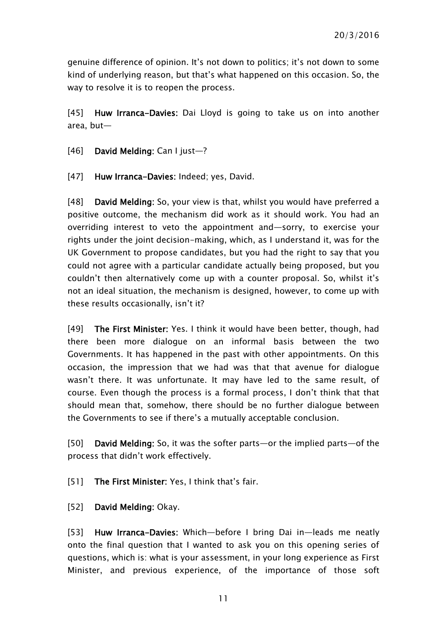genuine difference of opinion. It's not down to politics; it's not down to some kind of underlying reason, but that's what happened on this occasion. So, the way to resolve it is to reopen the process.

[45] Huw Irranca-Davies: Dai Lloyd is going to take us on into another area, but—

- [46] David Melding: Can I just—?
- [47] Huw Irranca-Davies: Indeed; yes, David.

[48] David Melding: So, your view is that, whilst you would have preferred a positive outcome, the mechanism did work as it should work. You had an overriding interest to veto the appointment and—sorry, to exercise your rights under the joint decision-making, which, as I understand it, was for the UK Government to propose candidates, but you had the right to say that you could not agree with a particular candidate actually being proposed, but you couldn't then alternatively come up with a counter proposal. So, whilst it's not an ideal situation, the mechanism is designed, however, to come up with these results occasionally, isn't it?

[49] The First Minister: Yes. I think it would have been better, though, had there been more dialogue on an informal basis between the two Governments. It has happened in the past with other appointments. On this occasion, the impression that we had was that that avenue for dialogue wasn't there. It was unfortunate. It may have led to the same result, of course. Even though the process is a formal process, I don't think that that should mean that, somehow, there should be no further dialogue between the Governments to see if there's a mutually acceptable conclusion.

[50] David Melding: So, it was the softer parts—or the implied parts—of the process that didn't work effectively.

[51] The First Minister: Yes, I think that's fair.

[52] David Melding: Okay.

[53] Huw Irranca-Davies: Which—before I bring Dai in—leads me neatly onto the final question that I wanted to ask you on this opening series of questions, which is: what is your assessment, in your long experience as First Minister, and previous experience, of the importance of those soft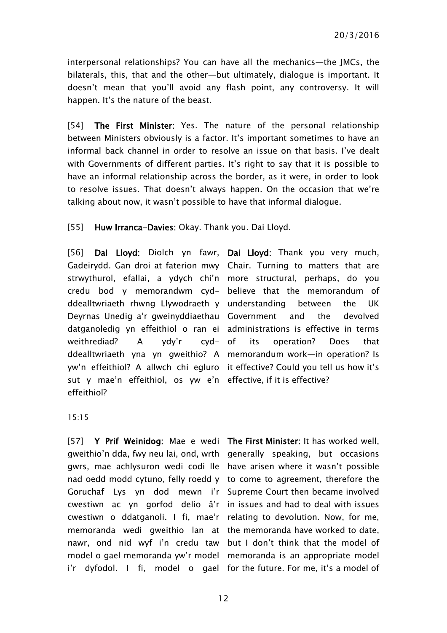interpersonal relationships? You can have all the mechanics—the JMCs, the bilaterals, this, that and the other—but ultimately, dialogue is important. It doesn't mean that you'll avoid any flash point, any controversy. It will happen. It's the nature of the beast.

[54] The First Minister: Yes. The nature of the personal relationship between Ministers obviously is a factor. It's important sometimes to have an informal back channel in order to resolve an issue on that basis. I've dealt with Governments of different parties. It's right to say that it is possible to have an informal relationship across the border, as it were, in order to look to resolve issues. That doesn't always happen. On the occasion that we're talking about now, it wasn't possible to have that informal dialogue.

[55] Huw Irranca-Davies: Okay. Thank you. Dai Lloyd.

[56] Dai Lloyd: Diolch yn fawr, Dai Lloyd: Thank you very much, Gadeirydd. Gan droi at faterion mwy Chair. Turning to matters that are strwythurol, efallai, a ydych chi'n more structural, perhaps, do you credu bod y memorandwm cyd-believe that the memorandum of ddealltwriaeth rhwng Llywodraeth y understanding between the UK Deyrnas Unedig a'r gweinyddiaethau Government and the devolved datganoledig yn effeithiol o ran ei administrations is effective in terms weithrediad? A ydy'r cyd- of ddealltwriaeth yna yn gweithio? A memorandum work—in operation? Is yw'n effeithiol? A allwch chi egluro it effective? Could you tell us how it's sut y mae'n effeithiol, os yw e'n effective, if it is effective? effeithiol?

its operation? Does that

15:15

[57] Y Prif Weinidog: Mae e wedi The First Minister: It has worked well, gweithio'n dda, fwy neu lai, ond, wrth generally speaking, but occasions gwrs, mae achlysuron wedi codi lle have arisen where it wasn't possible nad oedd modd cytuno, felly roedd y to come to agreement, therefore the Goruchaf Lys yn dod mewn i'r Supreme Court then became involved cwestiwn ac yn gorfod delio â'r in issues and had to deal with issues cwestiwn o ddatganoli. I fi, mae'r relating to devolution. Now, for me, memoranda wedi gweithio lan at the memoranda have worked to date, nawr, ond nid wyf i'n credu taw but I don't think that the model of model o gael memoranda yw'r model memoranda is an appropriate model

i'r dyfodol. I fi, model o gael for the future. For me, it's a model of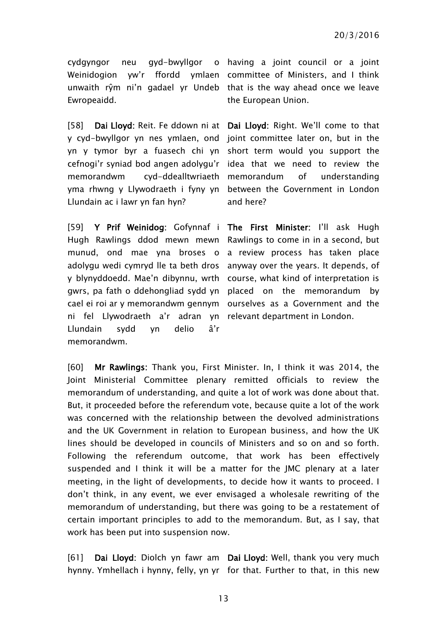Ewropeaidd.

[58] Dai Lloyd: Reit. Fe ddown ni at Dai Lloyd: Right. We'll come to that y cyd-bwyllgor yn nes ymlaen, ond joint committee later on, but in the yn y tymor byr a fuasech chi yn short term would you support the cefnogi'r syniad bod angen adolygu'r idea that we need to review the memorandwm cyd-ddealltwriaeth yma rhwng y Llywodraeth i fyny yn between the Government in London Llundain ac i lawr yn fan hyn?

[59] Y Prif Weinidog: Gofynnaf i The First Minister: I'll ask Hugh Hugh Rawlings ddod mewn mewn Rawlings to come in in a second, but munud, ond mae yna broses o a review process has taken place adolygu wedi cymryd lle ta beth dros anyway over the years. It depends, of y blynyddoedd. Mae'n dibynnu, wrth course, what kind of interpretation is gwrs, pa fath o ddehongliad sydd yn placed on the memorandum by cael ei roi ar y memorandwm gennym ourselves as a Government and the ni fel Llywodraeth a'r adran yn relevant department in London. Llundain sydd yn delio â'r memorandwm.

cydgyngor neu gyd-bwyllgor o having a joint council or a joint Weinidogion yw'r ffordd ymlaen committee of Ministers, and I think unwaith rŷm ni'n gadael yr Undeb that is the way ahead once we leave the European Union.

> of understanding and here?

[60] Mr Rawlings: Thank you, First Minister. In, I think it was 2014, the Joint Ministerial Committee plenary remitted officials to review the memorandum of understanding, and quite a lot of work was done about that. But, it proceeded before the referendum vote, because quite a lot of the work was concerned with the relationship between the devolved administrations and the UK Government in relation to European business, and how the UK lines should be developed in councils of Ministers and so on and so forth. Following the referendum outcome, that work has been effectively suspended and I think it will be a matter for the JMC plenary at a later meeting, in the light of developments, to decide how it wants to proceed. I don't think, in any event, we ever envisaged a wholesale rewriting of the memorandum of understanding, but there was going to be a restatement of certain important principles to add to the memorandum. But, as I say, that work has been put into suspension now.

[61] Dai Lloyd: Diolch yn fawr am Dai Lloyd: Well, thank you very much hynny. Ymhellach i hynny, felly, yn yr for that. Further to that, in this new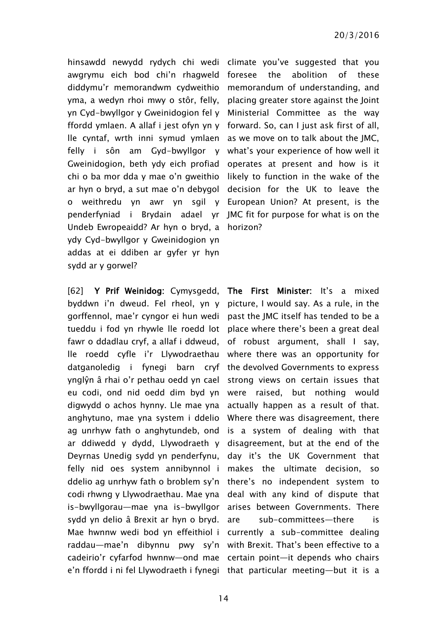hinsawdd newydd rydych chi wedi climate you've suggested that you awgrymu eich bod chi'n rhagweld foresee the abolition of these diddymu'r memorandwm cydweithio memorandum of understanding, and yma, a wedyn rhoi mwy o stôr, felly, placing greater store against the Joint yn Cyd-bwyllgor y Gweinidogion fel y Ministerial Committee as the way ffordd ymlaen. A allaf i jest ofyn yn y forward. So, can I just ask first of all, lle cyntaf, wrth inni symud ymlaen as we move on to talk about the JMC, felly i sôn am Gyd-bwyllgor y what's your experience of how well it Gweinidogion, beth ydy eich profiad operates at present and how is it chi o ba mor dda y mae o'n gweithio likely to function in the wake of the ar hyn o bryd, a sut mae o'n debygol decision for the UK to leave the o weithredu yn awr yn sgil y European Union? At present, is the penderfyniad i Brydain adael yr JMC fit for purpose for what is on the Undeb Ewropeaidd? Ar hyn o bryd, a horizon? ydy Cyd-bwyllgor y Gweinidogion yn addas at ei ddiben ar gyfer yr hyn sydd ar y gorwel?

[62] Y Prif Weinidog: Cymysgedd, The First Minister: It's a mixed byddwn i'n dweud. Fel rheol, yn y picture, I would say. As a rule, in the gorffennol, mae'r cyngor ei hun wedi past the JMC itself has tended to be a tueddu i fod yn rhywle lle roedd lot place where there's been a great deal fawr o ddadlau cryf, a allaf i ddweud, of robust argument, shall I say, lle roedd cyfle i'r Llywodraethau where there was an opportunity for datganoledig i fynegi barn cryf the devolved Governments to express ynglŷn â rhai o'r pethau oedd yn cael strong views on certain issues that eu codi, ond nid oedd dim byd yn were raised, but nothing would digwydd o achos hynny. Lle mae yna actually happen as a result of that. anghytuno, mae yna system i ddelio Where there was disagreement, there ag unrhyw fath o anghytundeb, ond is a system of dealing with that ar ddiwedd y dydd, Llywodraeth y disagreement, but at the end of the Deyrnas Unedig sydd yn penderfynu, day it's the UK Government that felly nid oes system annibynnol i makes the ultimate decision, so ddelio ag unrhyw fath o broblem sy'n there's no independent system to codi rhwng y Llywodraethau. Mae yna deal with any kind of dispute that is-bwyllgorau—mae yna is-bwyllgor arises between Governments. There sydd yn delio â Brexit ar hyn o bryd. Mae hwnnw wedi bod yn effeithiol i currently a sub-committee dealing raddau—mae'n dibynnu pwy sy'n with Brexit. That's been effective to a cadeirio'r cyfarfod hwnnw—ond mae certain point—it depends who chairs e'n ffordd i ni fel Llywodraeth i fynegi that particular meeting—but it is a

sub-committees—there is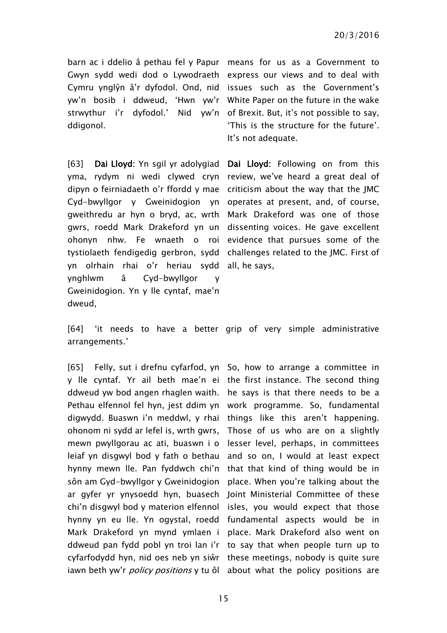barn ac i ddelio â pethau fel y Papur means for us as a Government to Gwyn sydd wedi dod o Lywodraeth express our views and to deal with Cymru ynglŷn â'r dyfodol. Ond, nid issues such as the Government's yw'n bosib i ddweud, 'Hwn yw'r White Paper on the future in the wake strwythur i'r dyfodol.' Nid yw'n of Brexit. But, it's not possible to say, ddigonol.

[63] **Dai Lloyd:** Yn sgil yr adolygiad yma, rydym ni wedi clywed cryn review, we've heard a great deal of dipyn o feirniadaeth o'r ffordd y mae criticism about the way that the JMC Cyd-bwyllgor y Gweinidogion yn operates at present, and, of course, gweithredu ar hyn o bryd, ac, wrth Mark Drakeford was one of those gwrs, roedd Mark Drakeford yn un dissenting voices. He gave excellent ohonyn nhw. Fe wnaeth o roi evidence that pursues some of the tystiolaeth fendigedig gerbron, sydd challenges related to the JMC. First of yn olrhain rhai o'r heriau sydd all, he says, ynghlwm â Cyd-bwyllgor y Gweinidogion. Yn y lle cyntaf, mae'n dweud,

'This is the structure for the future'. It's not adequate.

Dai Lloyd: Following on from this

[64] 'it needs to have a better grip of very simple administrative arrangements.'

[65] Felly, sut i drefnu cyfarfod, yn So, how to arrange a committee in y lle cyntaf. Yr ail beth mae'n ei the first instance. The second thing ddweud yw bod angen rhaglen waith. he says is that there needs to be a Pethau elfennol fel hyn, jest ddim yn work programme. So, fundamental digwydd. Buaswn i'n meddwl, y rhai things like this aren't happening. ohonom ni sydd ar lefel is, wrth gwrs, mewn pwyllgorau ac ati, buaswn i o lesser level, perhaps, in committees leiaf yn disgwyl bod y fath o bethau and so on, I would at least expect hynny mewn lle. Pan fyddwch chi'n that that kind of thing would be in sôn am Gyd-bwyllgor y Gweinidogion place. When you're talking about the ar gyfer yr ynysoedd hyn, buasech Joint Ministerial Committee of these chi'n disgwyl bod y materion elfennol isles, you would expect that those hynny yn eu lle. Yn ogystal, roedd fundamental aspects would be in Mark Drakeford yn mynd ymlaen i place. Mark Drakeford also went on ddweud pan fydd pobl yn troi lan i'r to say that when people turn up to cyfarfodydd hyn, nid oes neb yn siŵr these meetings, nobody is quite sure iawn beth yw'r *policy positions* y tu ôl about what the policy positions are

Those of us who are on a slightly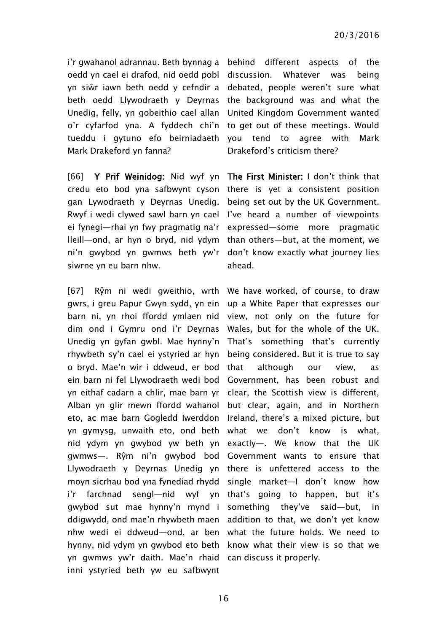i'r gwahanol adrannau. Beth bynnag a behind different aspects of the oedd yn cael ei drafod, nid oedd pobl yn siŵr iawn beth oedd y cefndir a debated, people weren't sure what beth oedd Llywodraeth y Deyrnas the background was and what the Unedig, felly, yn gobeithio cael allan United Kingdom Government wanted o'r cyfarfod yna. A fyddech chi'n to get out of these meetings. Would tueddu i gytuno efo beirniadaeth you tend to agree with Mark Mark Drakeford yn fanna?

[66] Y Prif Weinidog: Nid wyf yn The First Minister: I don't think that credu eto bod yna safbwynt cyson there is yet a consistent position gan Lywodraeth y Deyrnas Unedig. Rwyf i wedi clywed sawl barn yn cael I've heard a number of viewpoints ei fynegi—rhai yn fwy pragmatig na'r expressed—some more pragmatic lleill—ond, ar hyn o bryd, nid ydym than others—but, at the moment, we ni'n gwybod yn gwmws beth yw'r don't know exactly what journey lies siwrne yn eu barn nhw.

[67] Rŷm ni wedi gweithio, wrth We have worked, of course, to draw gwrs, i greu Papur Gwyn sydd, yn ein barn ni, yn rhoi ffordd ymlaen nid dim ond i Gymru ond i'r Deyrnas Unedig yn gyfan gwbl. Mae hynny'n rhywbeth sy'n cael ei ystyried ar hyn o bryd. Mae'n wir i ddweud, er bod ein barn ni fel Llywodraeth wedi bod yn eithaf cadarn a chlir, mae barn yr Alban yn glir mewn ffordd wahanol but clear, again, and in Northern eto, ac mae barn Gogledd Iwerddon Ireland, there's a mixed picture, but yn gymysg, unwaith eto, ond beth what we don't know is what, nid ydym yn gwybod yw beth yn exactly—. We know that the UK gwmws—. Rŷm ni'n gwybod bod Government wants to ensure that Llywodraeth y Deyrnas Unedig yn there is unfettered access to the moyn sicrhau bod yna fynediad rhydd single market—I don't know how i'r farchnad sengl—nid wyf yn that's going to happen, but it's gwybod sut mae hynny'n mynd i something they've said—but, in ddigwydd, ond mae'n rhywbeth maen addition to that, we don't yet know nhw wedi ei ddweud—ond, ar ben what the future holds. We need to hynny, nid ydym yn gwybod eto beth know what their view is so that we yn gwmws yw'r daith. Mae'n rhaid can discuss it properly.inni ystyried beth yw eu safbwynt

Whatever was being Drakeford's criticism there?

being set out by the UK Government. ahead.

up a White Paper that expresses our view, not only on the future for Wales, but for the whole of the UK. That's something that's currently being considered. But it is true to say that although our view, as Government, has been robust and clear, the Scottish view is different,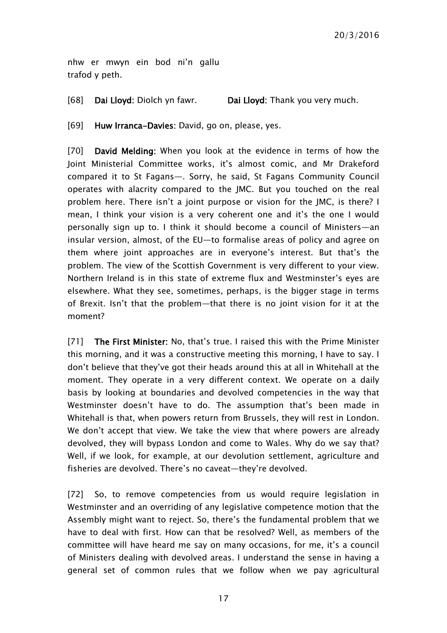nhw er mwyn ein bod ni'n gallu trafod y peth.

[68] Dai Lloyd: Diolch yn fawr. Dai Lloyd: Thank you very much.

[69] Huw Irranca-Davies: David, go on, please, yes.

[70] David Melding: When you look at the evidence in terms of how the Joint Ministerial Committee works, it's almost comic, and Mr Drakeford compared it to St Fagans—. Sorry, he said, St Fagans Community Council operates with alacrity compared to the JMC. But you touched on the real problem here. There isn't a joint purpose or vision for the JMC, is there? I mean, I think your vision is a very coherent one and it's the one I would personally sign up to. I think it should become a council of Ministers—an insular version, almost, of the EU—to formalise areas of policy and agree on them where joint approaches are in everyone's interest. But that's the problem. The view of the Scottish Government is very different to your view. Northern Ireland is in this state of extreme flux and Westminster's eyes are elsewhere. What they see, sometimes, perhaps, is the bigger stage in terms of Brexit. Isn't that the problem—that there is no joint vision for it at the moment?

[71] The First Minister: No, that's true. I raised this with the Prime Minister this morning, and it was a constructive meeting this morning, I have to say. I don't believe that they've got their heads around this at all in Whitehall at the moment. They operate in a very different context. We operate on a daily basis by looking at boundaries and devolved competencies in the way that Westminster doesn't have to do. The assumption that's been made in Whitehall is that, when powers return from Brussels, they will rest in London. We don't accept that view. We take the view that where powers are already devolved, they will bypass London and come to Wales. Why do we say that? Well, if we look, for example, at our devolution settlement, agriculture and fisheries are devolved. There's no caveat—they're devolved.

[72] So, to remove competencies from us would require legislation in Westminster and an overriding of any legislative competence motion that the Assembly might want to reject. So, there's the fundamental problem that we have to deal with first. How can that be resolved? Well, as members of the committee will have heard me say on many occasions, for me, it's a council of Ministers dealing with devolved areas. I understand the sense in having a general set of common rules that we follow when we pay agricultural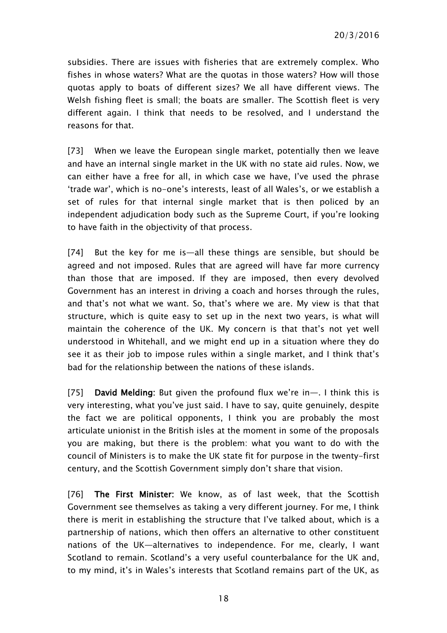subsidies. There are issues with fisheries that are extremely complex. Who fishes in whose waters? What are the quotas in those waters? How will those quotas apply to boats of different sizes? We all have different views. The Welsh fishing fleet is small; the boats are smaller. The Scottish fleet is very different again. I think that needs to be resolved, and I understand the reasons for that.

[73] When we leave the European single market, potentially then we leave and have an internal single market in the UK with no state aid rules. Now, we can either have a free for all, in which case we have, I've used the phrase 'trade war', which is no-one's interests, least of all Wales's, or we establish a set of rules for that internal single market that is then policed by an independent adjudication body such as the Supreme Court, if you're looking to have faith in the objectivity of that process.

[74] But the key for me is—all these things are sensible, but should be agreed and not imposed. Rules that are agreed will have far more currency than those that are imposed. If they are imposed, then every devolved Government has an interest in driving a coach and horses through the rules, and that's not what we want. So, that's where we are. My view is that that structure, which is quite easy to set up in the next two years, is what will maintain the coherence of the UK. My concern is that that's not yet well understood in Whitehall, and we might end up in a situation where they do see it as their job to impose rules within a single market, and I think that's bad for the relationship between the nations of these islands.

[75] David Melding: But given the profound flux we're in—. I think this is very interesting, what you've just said. I have to say, quite genuinely, despite the fact we are political opponents, I think you are probably the most articulate unionist in the British isles at the moment in some of the proposals you are making, but there is the problem: what you want to do with the council of Ministers is to make the UK state fit for purpose in the twenty-first century, and the Scottish Government simply don't share that vision.

[76] The First Minister: We know, as of last week, that the Scottish Government see themselves as taking a very different journey. For me, I think there is merit in establishing the structure that I've talked about, which is a partnership of nations, which then offers an alternative to other constituent nations of the UK—alternatives to independence. For me, clearly, I want Scotland to remain. Scotland's a very useful counterbalance for the UK and, to my mind, it's in Wales's interests that Scotland remains part of the UK, as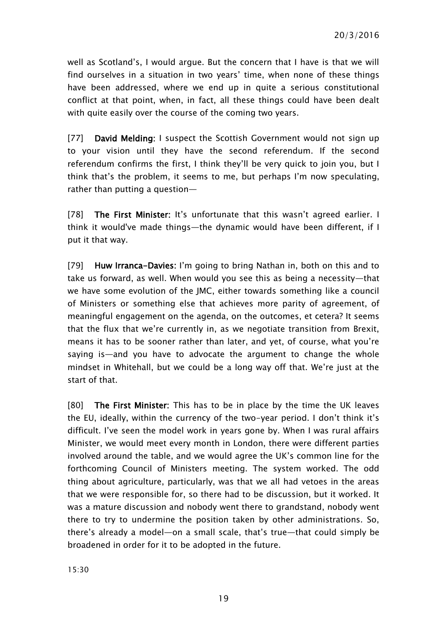well as Scotland's, I would argue. But the concern that I have is that we will find ourselves in a situation in two years' time, when none of these things have been addressed, where we end up in quite a serious constitutional conflict at that point, when, in fact, all these things could have been dealt with quite easily over the course of the coming two years.

[77] David Melding: I suspect the Scottish Government would not sign up to your vision until they have the second referendum. If the second referendum confirms the first, I think they'll be very quick to join you, but I think that's the problem, it seems to me, but perhaps I'm now speculating, rather than putting a question—

[78] The First Minister: It's unfortunate that this wasn't agreed earlier. I think it would've made things—the dynamic would have been different, if I put it that way.

[79] Huw Irranca-Davies: I'm going to bring Nathan in, both on this and to take us forward, as well. When would you see this as being a necessity—that we have some evolution of the JMC, either towards something like a council of Ministers or something else that achieves more parity of agreement, of meaningful engagement on the agenda, on the outcomes, et cetera? It seems that the flux that we're currently in, as we negotiate transition from Brexit, means it has to be sooner rather than later, and yet, of course, what you're saying is—and you have to advocate the argument to change the whole mindset in Whitehall, but we could be a long way off that. We're just at the start of that.

[80] The First Minister: This has to be in place by the time the UK leaves the EU, ideally, within the currency of the two-year period. I don't think it's difficult. I've seen the model work in years gone by. When I was rural affairs Minister, we would meet every month in London, there were different parties involved around the table, and we would agree the UK's common line for the forthcoming Council of Ministers meeting. The system worked. The odd thing about agriculture, particularly, was that we all had vetoes in the areas that we were responsible for, so there had to be discussion, but it worked. It was a mature discussion and nobody went there to grandstand, nobody went there to try to undermine the position taken by other administrations. So, there's already a model—on a small scale, that's true—that could simply be broadened in order for it to be adopted in the future.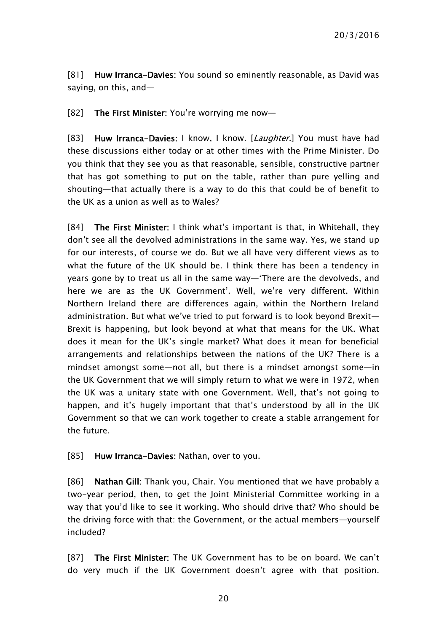[81] Huw Irranca-Davies: You sound so eminently reasonable, as David was saying, on this, and—

[82] The First Minister: You're worrying me now—

[83] Huw Irranca-Davies: I know, I know. [Laughter.] You must have had these discussions either today or at other times with the Prime Minister. Do you think that they see you as that reasonable, sensible, constructive partner that has got something to put on the table, rather than pure yelling and shouting—that actually there is a way to do this that could be of benefit to the UK as a union as well as to Wales?

[84] The First Minister: I think what's important is that, in Whitehall, they don't see all the devolved administrations in the same way. Yes, we stand up for our interests, of course we do. But we all have very different views as to what the future of the UK should be. I think there has been a tendency in years gone by to treat us all in the same way—'There are the devolveds, and here we are as the UK Government'. Well, we're very different. Within Northern Ireland there are differences again, within the Northern Ireland administration. But what we've tried to put forward is to look beyond Brexit— Brexit is happening, but look beyond at what that means for the UK. What does it mean for the UK's single market? What does it mean for beneficial arrangements and relationships between the nations of the UK? There is a mindset amongst some—not all, but there is a mindset amongst some—in the UK Government that we will simply return to what we were in 1972, when the UK was a unitary state with one Government. Well, that's not going to happen, and it's hugely important that that's understood by all in the UK Government so that we can work together to create a stable arrangement for the future.

[85] Huw Irranca-Davies: Nathan, over to you.

[86] Nathan Gill: Thank you, Chair. You mentioned that we have probably a two-year period, then, to get the Joint Ministerial Committee working in a way that you'd like to see it working. Who should drive that? Who should be the driving force with that: the Government, or the actual members—yourself included?

[87] The First Minister: The UK Government has to be on board. We can't do very much if the UK Government doesn't agree with that position.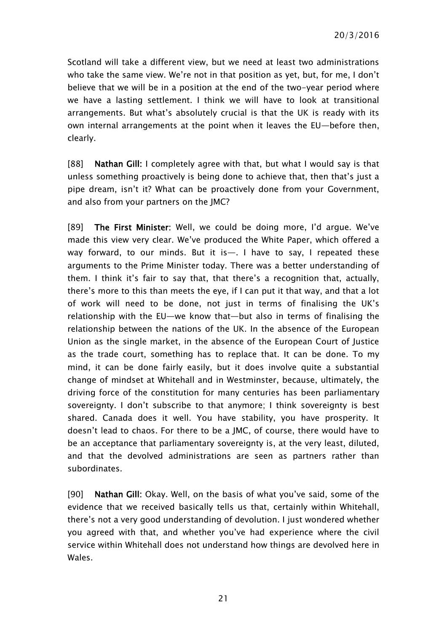Scotland will take a different view, but we need at least two administrations who take the same view. We're not in that position as yet, but, for me, I don't believe that we will be in a position at the end of the two-year period where we have a lasting settlement. I think we will have to look at transitional arrangements. But what's absolutely crucial is that the UK is ready with its own internal arrangements at the point when it leaves the EU—before then, clearly.

[88] Nathan Gill: I completely agree with that, but what I would say is that unless something proactively is being done to achieve that, then that's just a pipe dream, isn't it? What can be proactively done from your Government, and also from your partners on the JMC?

[89] The First Minister: Well, we could be doing more, I'd argue. We've made this view very clear. We've produced the White Paper, which offered a way forward, to our minds. But it is—. I have to say, I repeated these arguments to the Prime Minister today. There was a better understanding of them. I think it's fair to say that, that there's a recognition that, actually, there's more to this than meets the eye, if I can put it that way, and that a lot of work will need to be done, not just in terms of finalising the UK's relationship with the EU—we know that—but also in terms of finalising the relationship between the nations of the UK. In the absence of the European Union as the single market, in the absence of the European Court of Justice as the trade court, something has to replace that. It can be done. To my mind, it can be done fairly easily, but it does involve quite a substantial change of mindset at Whitehall and in Westminster, because, ultimately, the driving force of the constitution for many centuries has been parliamentary sovereignty. I don't subscribe to that anymore; I think sovereignty is best shared. Canada does it well. You have stability, you have prosperity. It doesn't lead to chaos. For there to be a JMC, of course, there would have to be an acceptance that parliamentary sovereignty is, at the very least, diluted, and that the devolved administrations are seen as partners rather than subordinates.

[90] Nathan Gill: Okay. Well, on the basis of what you've said, some of the evidence that we received basically tells us that, certainly within Whitehall, there's not a very good understanding of devolution. I just wondered whether you agreed with that, and whether you've had experience where the civil service within Whitehall does not understand how things are devolved here in Wales.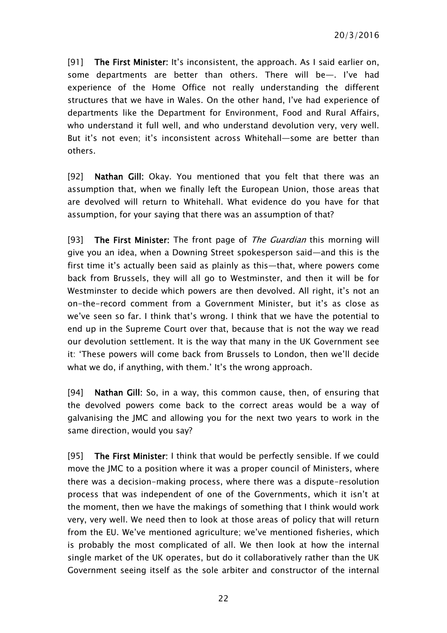[91] The First Minister: It's inconsistent, the approach, As I said earlier on, some departments are better than others. There will be—. I've had experience of the Home Office not really understanding the different structures that we have in Wales. On the other hand, I've had experience of departments like the Department for Environment, Food and Rural Affairs, who understand it full well, and who understand devolution very, very well. But it's not even; it's inconsistent across Whitehall—some are better than others.

[92] Nathan Gill: Okay. You mentioned that you felt that there was an assumption that, when we finally left the European Union, those areas that are devolved will return to Whitehall. What evidence do you have for that assumption, for your saying that there was an assumption of that?

[93] The First Minister: The front page of The Guardian this morning will give you an idea, when a Downing Street spokesperson said—and this is the first time it's actually been said as plainly as this—that, where powers come back from Brussels, they will all go to Westminster, and then it will be for Westminster to decide which powers are then devolved. All right, it's not an on-the-record comment from a Government Minister, but it's as close as we've seen so far. I think that's wrong. I think that we have the potential to end up in the Supreme Court over that, because that is not the way we read our devolution settlement. It is the way that many in the UK Government see it: 'These powers will come back from Brussels to London, then we'll decide what we do, if anything, with them.' It's the wrong approach.

[94] Nathan Gill: So, in a way, this common cause, then, of ensuring that the devolved powers come back to the correct areas would be a way of galvanising the JMC and allowing you for the next two years to work in the same direction, would you say?

[95] The First Minister: I think that would be perfectly sensible. If we could move the JMC to a position where it was a proper council of Ministers, where there was a decision-making process, where there was a dispute-resolution process that was independent of one of the Governments, which it isn't at the moment, then we have the makings of something that I think would work very, very well. We need then to look at those areas of policy that will return from the EU. We've mentioned agriculture; we've mentioned fisheries, which is probably the most complicated of all. We then look at how the internal single market of the UK operates, but do it collaboratively rather than the UK Government seeing itself as the sole arbiter and constructor of the internal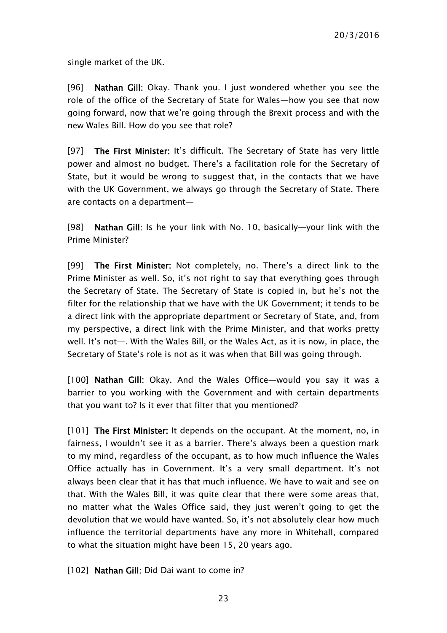single market of the UK.

[96] Nathan Gill: Okay. Thank you. I just wondered whether you see the role of the office of the Secretary of State for Wales—how you see that now going forward, now that we're going through the Brexit process and with the new Wales Bill. How do you see that role?

[97] The First Minister: It's difficult. The Secretary of State has very little power and almost no budget. There's a facilitation role for the Secretary of State, but it would be wrong to suggest that, in the contacts that we have with the UK Government, we always go through the Secretary of State. There are contacts on a department—

[98] Nathan Gill: Is he your link with No. 10, basically—your link with the Prime Minister?

[99] The First Minister: Not completely, no. There's a direct link to the Prime Minister as well. So, it's not right to say that everything goes through the Secretary of State. The Secretary of State is copied in, but he's not the filter for the relationship that we have with the UK Government; it tends to be a direct link with the appropriate department or Secretary of State, and, from my perspective, a direct link with the Prime Minister, and that works pretty well. It's not—. With the Wales Bill, or the Wales Act, as it is now, in place, the Secretary of State's role is not as it was when that Bill was going through.

[100] Nathan Gill: Okay. And the Wales Office—would you say it was a barrier to you working with the Government and with certain departments that you want to? Is it ever that filter that you mentioned?

[101] The First Minister: It depends on the occupant. At the moment, no, in fairness, I wouldn't see it as a barrier. There's always been a question mark to my mind, regardless of the occupant, as to how much influence the Wales Office actually has in Government. It's a very small department. It's not always been clear that it has that much influence. We have to wait and see on that. With the Wales Bill, it was quite clear that there were some areas that, no matter what the Wales Office said, they just weren't going to get the devolution that we would have wanted. So, it's not absolutely clear how much influence the territorial departments have any more in Whitehall, compared to what the situation might have been 15, 20 years ago.

[102] **Nathan Gill:** Did Dai want to come in?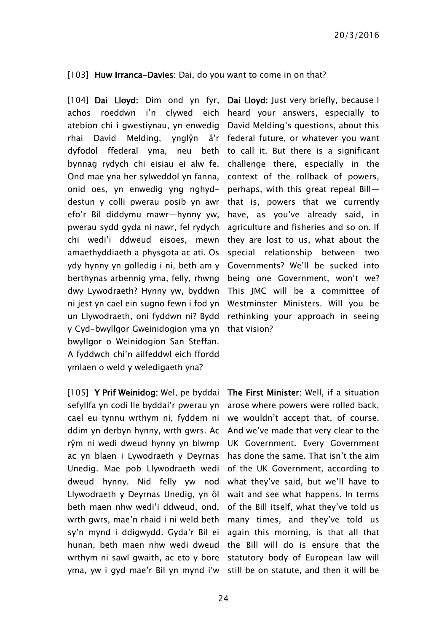[103] Huw Irranca-Davies: Dai, do you want to come in on that?

[104] Dai Lloyd: Dim ond yn fyr, achos roeddwn i'n clywed eich atebion chi i gwestiynau, yn enwedig rhai David Melding, ynglŷn â'r dyfodol ffederal yma, neu beth to call it. But there is a significant bynnag rydych chi eisiau ei alw fe. Ond mae yna her sylweddol yn fanna, onid oes, yn enwedig yng nghyddestun y colli pwerau posib yn awr efo'r Bil diddymu mawr—hynny yw, pwerau sydd gyda ni nawr, fel rydych chi wedi'i ddweud eisoes, mewn amaethyddiaeth a physgota ac ati. Os ydy hynny yn golledig i ni, beth am y berthynas arbennig yma, felly, rhwng dwy Lywodraeth? Hynny yw, byddwn ni jest yn cael ein sugno fewn i fod yn un Llywodraeth, oni fyddwn ni? Bydd y Cyd-bwyllgor Gweinidogion yma yn that vision? bwyllgor o Weinidogion San Steffan. A fyddwch chi'n ailfeddwl eich ffordd ymlaen o weld y weledigaeth yna?

sefyllfa yn codi lle byddai'r pwerau yn cael eu tynnu wrthym ni, fyddem ni ddim yn derbyn hynny, wrth gwrs. Ac And we've made that very clear to the rŷm ni wedi dweud hynny yn blwmp UK Government. Every Government ac yn blaen i Lywodraeth y Deyrnas Unedig. Mae pob Llywodraeth wedi dweud hynny. Nid felly yw nod what they've said, but we'll have to Llywodraeth y Deyrnas Unedig, yn ôl wait and see what happens. In terms beth maen nhw wedi'i ddweud, ond, wrth gwrs, mae'n rhaid i ni weld beth sy'n mynd i ddigwydd. Gyda'r Bil ei hunan, beth maen nhw wedi dweud the Bill will do is ensure that the wrthym ni sawl gwaith, ac eto y bore statutory body of European law will yma, yw i gyd mae'r Bil yn mynd i'w still be on statute, and then it will be

Dai Lloyd: Just very briefly, because I heard your answers, especially to David Melding's questions, about this federal future, or whatever you want challenge there, especially in the context of the rollback of powers, perhaps, with this great repeal Bill that is, powers that we currently have, as you've already said, in agriculture and fisheries and so on. If they are lost to us, what about the special relationship between two Governments? We'll be sucked into being one Government, won't we? This JMC will be a committee of Westminster Ministers. Will you be rethinking your approach in seeing

[105] Y Prif Weinidog: Wel, pe byddai The First Minister: Well, if a situation arose where powers were rolled back, we wouldn't accept that, of course. has done the same. That isn't the aim of the UK Government, according to of the Bill itself, what they've told us many times, and they've told us again this morning, is that all that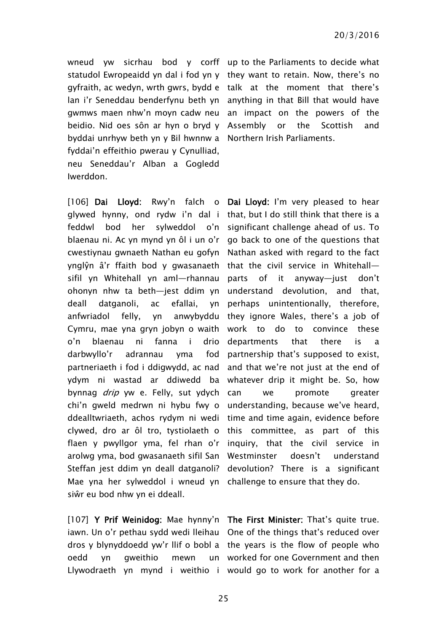byddai unrhyw beth yn y Bil hwnnw a Northern Irish Parliaments. fyddai'n effeithio pwerau y Cynulliad, neu Seneddau'r Alban a Gogledd Iwerddon.

[106] Dai Lloyd: Rwy'n falch o Dai Lloyd: I'm very pleased to hear glywed hynny, ond rydw i'n dal i that, but I do still think that there is a feddwl bod her sylweddol o'n significant challenge ahead of us. To blaenau ni. Ac yn mynd yn ôl i un o'r go back to one of the questions that cwestiynau gwnaeth Nathan eu gofyn Nathan asked with regard to the fact ynglŷn â'r ffaith bod y gwasanaeth that the civil service in Whitehall sifil yn Whitehall yn aml—rhannau parts of it anyway—just don't ohonyn nhw ta beth—jest ddim yn understand devolution, and that, deall datganoli, ac efallai, yn anfwriadol felly, yn anwybyddu they ignore Wales, there's a job of Cymru, mae yna gryn jobyn o waith work to do to convince these o'n blaenau ni fanna i drio darbwyllo'r adrannau yma fod partneriaeth i fod i ddigwydd, ac nad ydym ni wastad ar ddiwedd ba whatever drip it might be. So, how bynnag *drip* yw e. Felly, sut ydych can chi'n gweld medrwn ni hybu fwy o understanding, because we've heard, ddealltwriaeth, achos rydym ni wedi time and time again, evidence before clywed, dro ar ôl tro, tystiolaeth o this committee, as part of this flaen y pwyllgor yma, fel rhan o'r inquiry, that the civil service in arolwg yma, bod gwasanaeth sifil San Westminster doesn't understand Steffan jest ddim yn deall datganoli? devolution? There is a significant Mae yna her sylweddol i wneud yn challenge to ensure that they do. siŵr eu bod nhw yn ei ddeall.

[107] Y Prif Weinidog: Mae hynny'n The First Minister: That's quite true. iawn. Un o'r pethau sydd wedi lleihau One of the things that's reduced over dros y blynyddoedd yw'r llif o bobl a the years is the flow of people who oedd yn gweithio mewn

wneud yw sicrhau bod y corff up to the Parliaments to decide what statudol Ewropeaidd yn dal i fod yn y they want to retain. Now, there's no gyfraith, ac wedyn, wrth gwrs, bydd e talk at the moment that there's lan i'r Seneddau benderfynu beth yn anything in that Bill that would have gwmws maen nhw'n moyn cadw neu an impact on the powers of the beidio. Nid oes sôn ar hyn o bryd y Assembly or the Scottish and

> perhaps unintentionally, therefore, departments that there is a partnership that's supposed to exist, and that we're not just at the end of we promote greater

Llywodraeth yn mynd i weithio i would go to work for another for a worked for one Government and then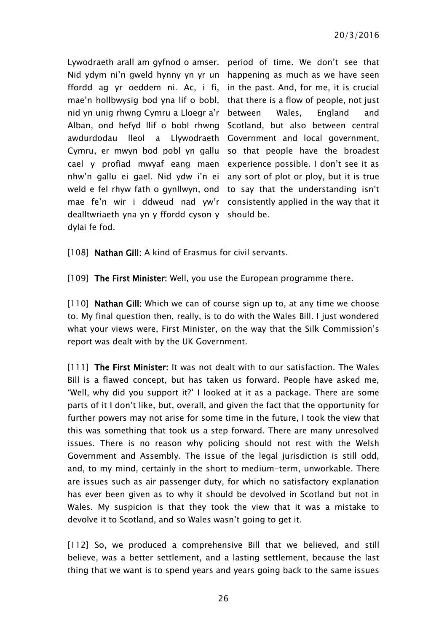Lywodraeth arall am gyfnod o amser. period of time. We don't see that Nid ydym ni'n gweld hynny yn yr un happening as much as we have seen ffordd ag yr oeddem ni. Ac, i fi, mae'n hollbwysig bod yna lif o bobl, nid yn unig rhwng Cymru a Lloegr a'r Alban, ond hefyd llif o bobl rhwng Scotland, but also between central awdurdodau lleol a Llywodraeth Government and local government, Cymru, er mwyn bod pobl yn gallu so that people have the broadest cael y profiad mwyaf eang maen experience possible. I don't see it as nhw'n gallu ei gael. Nid ydw i'n ei any sort of plot or ploy, but it is true weld e fel rhyw fath o gynllwyn, ond to say that the understanding isn't mae fe'n wir i ddweud nad yw'r consistently applied in the way that it dealltwriaeth yna yn y ffordd cyson y should be. dylai fe fod.

in the past. And, for me, it is crucial that there is a flow of people, not just between Wales, England and

[108] Nathan Gill: A kind of Erasmus for civil servants.

[109] The First Minister: Well, you use the European programme there.

[110] Nathan Gill: Which we can of course sign up to, at any time we choose to. My final question then, really, is to do with the Wales Bill. I just wondered what your views were, First Minister, on the way that the Silk Commission's report was dealt with by the UK Government.

[111] The First Minister: It was not dealt with to our satisfaction. The Wales Bill is a flawed concept, but has taken us forward. People have asked me, 'Well, why did you support it?' I looked at it as a package. There are some parts of it I don't like, but, overall, and given the fact that the opportunity for further powers may not arise for some time in the future, I took the view that this was something that took us a step forward. There are many unresolved issues. There is no reason why policing should not rest with the Welsh Government and Assembly. The issue of the legal jurisdiction is still odd, and, to my mind, certainly in the short to medium-term, unworkable. There are issues such as air passenger duty, for which no satisfactory explanation has ever been given as to why it should be devolved in Scotland but not in Wales. My suspicion is that they took the view that it was a mistake to devolve it to Scotland, and so Wales wasn't going to get it.

[112] So, we produced a comprehensive Bill that we believed, and still believe, was a better settlement, and a lasting settlement, because the last thing that we want is to spend years and years going back to the same issues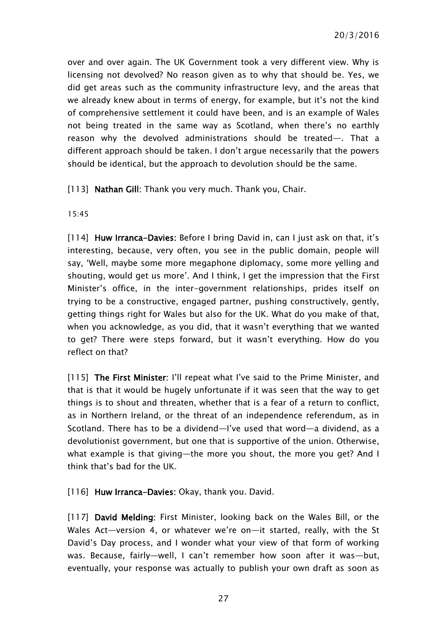over and over again. The UK Government took a very different view. Why is licensing not devolved? No reason given as to why that should be. Yes, we did get areas such as the community infrastructure levy, and the areas that we already knew about in terms of energy, for example, but it's not the kind of comprehensive settlement it could have been, and is an example of Wales not being treated in the same way as Scotland, when there's no earthly reason why the devolved administrations should be treated—. That a different approach should be taken. I don't argue necessarily that the powers should be identical, but the approach to devolution should be the same.

[113] Nathan Gill: Thank you very much. Thank you, Chair.

15:45

[114] Huw Irranca-Davies: Before I bring David in, can I just ask on that, it's interesting, because, very often, you see in the public domain, people will say, 'Well, maybe some more megaphone diplomacy, some more yelling and shouting, would get us more'. And I think, I get the impression that the First Minister's office, in the inter-government relationships, prides itself on trying to be a constructive, engaged partner, pushing constructively, gently, getting things right for Wales but also for the UK. What do you make of that, when you acknowledge, as you did, that it wasn't everything that we wanted to get? There were steps forward, but it wasn't everything. How do you reflect on that?

[115] The First Minister: I'll repeat what I've said to the Prime Minister, and that is that it would be hugely unfortunate if it was seen that the way to get things is to shout and threaten, whether that is a fear of a return to conflict, as in Northern Ireland, or the threat of an independence referendum, as in Scotland. There has to be a dividend—I've used that word—a dividend, as a devolutionist government, but one that is supportive of the union. Otherwise, what example is that giving—the more you shout, the more you get? And I think that's bad for the UK.

[116] Huw Irranca-Davies: Okay, thank you. David.

[117] David Melding: First Minister, looking back on the Wales Bill, or the Wales Act—version 4, or whatever we're on—it started, really, with the St David's Day process, and I wonder what your view of that form of working was. Because, fairly—well, I can't remember how soon after it was—but, eventually, your response was actually to publish your own draft as soon as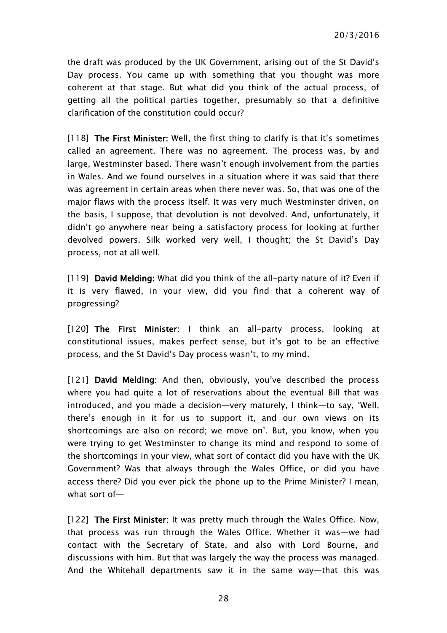the draft was produced by the UK Government, arising out of the St David's Day process. You came up with something that you thought was more coherent at that stage. But what did you think of the actual process, of getting all the political parties together, presumably so that a definitive clarification of the constitution could occur?

[118] The First Minister: Well, the first thing to clarify is that it's sometimes called an agreement. There was no agreement. The process was, by and large, Westminster based. There wasn't enough involvement from the parties in Wales. And we found ourselves in a situation where it was said that there was agreement in certain areas when there never was. So, that was one of the major flaws with the process itself. It was very much Westminster driven, on the basis, I suppose, that devolution is not devolved. And, unfortunately, it didn't go anywhere near being a satisfactory process for looking at further devolved powers. Silk worked very well, I thought; the St David's Day process, not at all well.

[119] David Melding: What did you think of the all-party nature of it? Even if it is very flawed, in your view, did you find that a coherent way of progressing?

[120] The First Minister: I think an all-party process, looking at constitutional issues, makes perfect sense, but it's got to be an effective process, and the St David's Day process wasn't, to my mind.

[121] David Melding: And then, obviously, you've described the process where you had quite a lot of reservations about the eventual Bill that was introduced, and you made a decision—very maturely, I think—to say, 'Well, there's enough in it for us to support it, and our own views on its shortcomings are also on record; we move on'. But, you know, when you were trying to get Westminster to change its mind and respond to some of the shortcomings in your view, what sort of contact did you have with the UK Government? Was that always through the Wales Office, or did you have access there? Did you ever pick the phone up to the Prime Minister? I mean, what sort of—

[122] The First Minister: It was pretty much through the Wales Office. Now, that process was run through the Wales Office. Whether it was—we had contact with the Secretary of State, and also with Lord Bourne, and discussions with him. But that was largely the way the process was managed. And the Whitehall departments saw it in the same way—that this was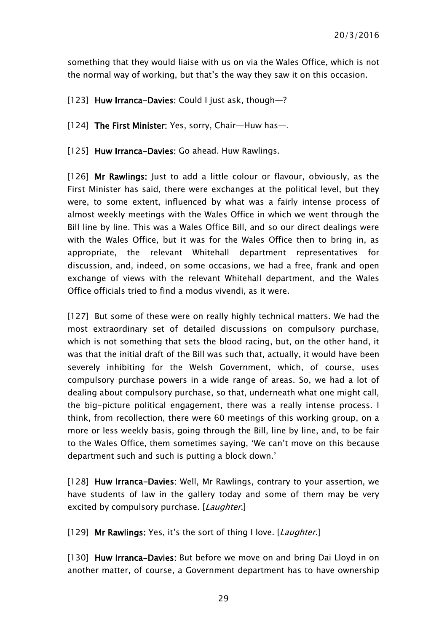something that they would liaise with us on via the Wales Office, which is not the normal way of working, but that's the way they saw it on this occasion.

[123] Huw Irranca-Davies: Could I just ask, though-?

[124] The First Minister: Yes, sorry, Chair—Huw has—.

[125] Huw Irranca-Davies: Go ahead. Huw Rawlings.

[126] Mr Rawlings: Just to add a little colour or flavour, obviously, as the First Minister has said, there were exchanges at the political level, but they were, to some extent, influenced by what was a fairly intense process of almost weekly meetings with the Wales Office in which we went through the Bill line by line. This was a Wales Office Bill, and so our direct dealings were with the Wales Office, but it was for the Wales Office then to bring in, as appropriate, the relevant Whitehall department representatives for discussion, and, indeed, on some occasions, we had a free, frank and open exchange of views with the relevant Whitehall department, and the Wales Office officials tried to find a modus vivendi, as it were.

[127] But some of these were on really highly technical matters. We had the most extraordinary set of detailed discussions on compulsory purchase, which is not something that sets the blood racing, but, on the other hand, it was that the initial draft of the Bill was such that, actually, it would have been severely inhibiting for the Welsh Government, which, of course, uses compulsory purchase powers in a wide range of areas. So, we had a lot of dealing about compulsory purchase, so that, underneath what one might call, the big-picture political engagement, there was a really intense process. I think, from recollection, there were 60 meetings of this working group, on a more or less weekly basis, going through the Bill, line by line, and, to be fair to the Wales Office, them sometimes saying, 'We can't move on this because department such and such is putting a block down.'

[128] Huw Irranca-Davies: Well, Mr Rawlings, contrary to your assertion, we have students of law in the gallery today and some of them may be very excited by compulsory purchase. [Laughter.]

[129] Mr Rawlings: Yes, it's the sort of thing I love. [Laughter.]

[130] Huw Irranca-Davies: But before we move on and bring Dai Lloyd in on another matter, of course, a Government department has to have ownership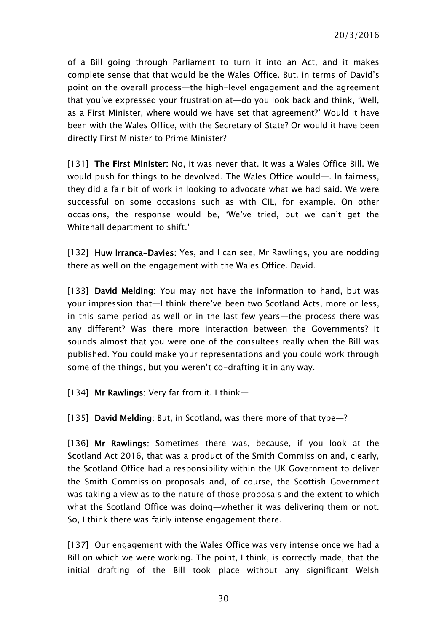of a Bill going through Parliament to turn it into an Act, and it makes complete sense that that would be the Wales Office. But, in terms of David's point on the overall process—the high-level engagement and the agreement that you've expressed your frustration at—do you look back and think, 'Well, as a First Minister, where would we have set that agreement?' Would it have been with the Wales Office, with the Secretary of State? Or would it have been directly First Minister to Prime Minister?

[131] The First Minister: No, it was never that. It was a Wales Office Bill. We would push for things to be devolved. The Wales Office would—. In fairness, they did a fair bit of work in looking to advocate what we had said. We were successful on some occasions such as with CIL, for example. On other occasions, the response would be, 'We've tried, but we can't get the Whitehall department to shift.'

[132] Huw Irranca-Davies: Yes, and I can see, Mr Rawlings, you are nodding there as well on the engagement with the Wales Office. David.

[133] David Melding: You may not have the information to hand, but was your impression that—I think there've been two Scotland Acts, more or less, in this same period as well or in the last few years—the process there was any different? Was there more interaction between the Governments? It sounds almost that you were one of the consultees really when the Bill was published. You could make your representations and you could work through some of the things, but you weren't co-drafting it in any way.

[134] Mr Rawlings: Very far from it. I think-

[135] David Melding: But, in Scotland, was there more of that type—?

[136] Mr Rawlings: Sometimes there was, because, if you look at the Scotland Act 2016, that was a product of the Smith Commission and, clearly, the Scotland Office had a responsibility within the UK Government to deliver the Smith Commission proposals and, of course, the Scottish Government was taking a view as to the nature of those proposals and the extent to which what the Scotland Office was doing—whether it was delivering them or not. So, I think there was fairly intense engagement there.

[137] Our engagement with the Wales Office was very intense once we had a Bill on which we were working. The point, I think, is correctly made, that the initial drafting of the Bill took place without any significant Welsh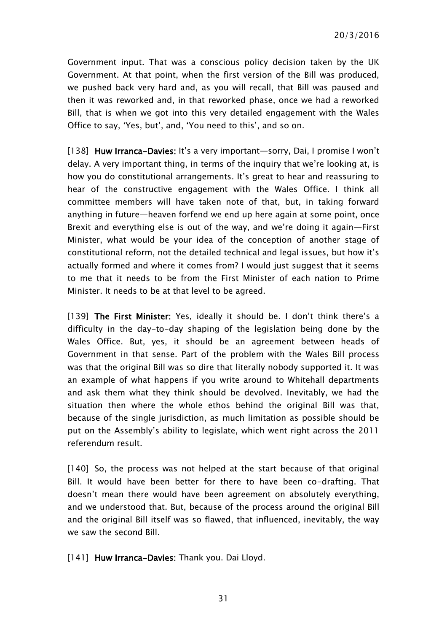Government input. That was a conscious policy decision taken by the UK Government. At that point, when the first version of the Bill was produced, we pushed back very hard and, as you will recall, that Bill was paused and then it was reworked and, in that reworked phase, once we had a reworked Bill, that is when we got into this very detailed engagement with the Wales Office to say, 'Yes, but', and, 'You need to this', and so on.

[138] Huw Irranca-Davies: It's a very important—sorry, Dai, I promise I won't delay. A very important thing, in terms of the inquiry that we're looking at, is how you do constitutional arrangements. It's great to hear and reassuring to hear of the constructive engagement with the Wales Office. I think all committee members will have taken note of that, but, in taking forward anything in future—heaven forfend we end up here again at some point, once Brexit and everything else is out of the way, and we're doing it again—First Minister, what would be your idea of the conception of another stage of constitutional reform, not the detailed technical and legal issues, but how it's actually formed and where it comes from? I would just suggest that it seems to me that it needs to be from the First Minister of each nation to Prime Minister. It needs to be at that level to be agreed.

[139] The First Minister: Yes, ideally it should be. I don't think there's a difficulty in the day-to-day shaping of the legislation being done by the Wales Office. But, yes, it should be an agreement between heads of Government in that sense. Part of the problem with the Wales Bill process was that the original Bill was so dire that literally nobody supported it. It was an example of what happens if you write around to Whitehall departments and ask them what they think should be devolved. Inevitably, we had the situation then where the whole ethos behind the original Bill was that, because of the single jurisdiction, as much limitation as possible should be put on the Assembly's ability to legislate, which went right across the 2011 referendum result.

[140] So, the process was not helped at the start because of that original Bill. It would have been better for there to have been co-drafting. That doesn't mean there would have been agreement on absolutely everything, and we understood that. But, because of the process around the original Bill and the original Bill itself was so flawed, that influenced, inevitably, the way we saw the second Bill.

[141] Huw Irranca-Davies: Thank you. Dai Lloyd.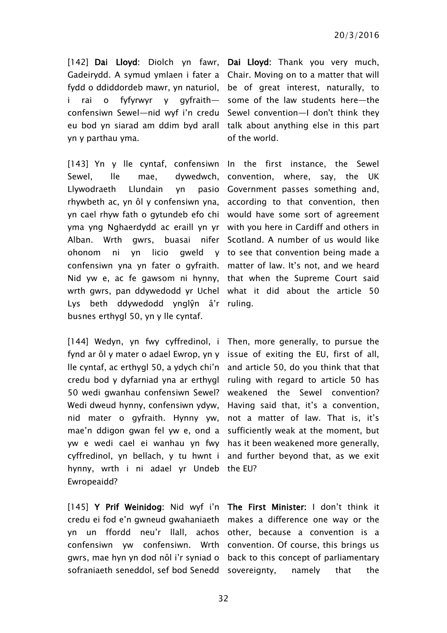[142] Dai Lloyd: Diolch yn fawr, Dai Lloyd: Thank you very much, Gadeirydd. A symud ymlaen i fater a Chair. Moving on to a matter that will fydd o ddiddordeb mawr, yn naturiol, be of great interest, naturally, to i rai o fyfyrwyr y confensiwn Sewel—nid wyf i'n credu Sewel convention—I don't think they eu bod yn siarad am ddim byd arall talk about anything else in this part yn y parthau yma.

Sewel, lle mae, dywedwch, convention, where, say, the UK Llywodraeth Llundain yn rhywbeth ac, yn ôl y confensiwn yna, according to that convention, then yn cael rhyw fath o gytundeb efo chi would have some sort of agreement yma yng Nghaerdydd ac eraill yn yr with you here in Cardiff and others in Alban. Wrth gwrs, buasai nifer Scotland. A number of us would like ohonom ni yn licio gweld y to see that convention being made a confensiwn yna yn fater o gyfraith. matter of law. It's not, and we heard Nid yw e, ac fe gawsom ni hynny, that when the Supreme Court said wrth gwrs, pan ddywedodd yr Uchel what it did about the article 50 Lys beth ddywedodd ynglŷn â'r ruling. busnes erthygl 50, yn y lle cyntaf.

[144] Wedyn, yn fwy cyffredinol, i Then, more generally, to pursue the fynd ar ôl y mater o adael Ewrop, yn y issue of exiting the EU, first of all, lle cyntaf, ac erthygl 50, a ydych chi'n and article 50, do you think that that credu bod y dyfarniad yna ar erthygl ruling with regard to article 50 has 50 wedi gwanhau confensiwn Sewel? weakened the Sewel convention? Wedi dweud hynny, confensiwn ydyw, Having said that, it's a convention, nid mater o gyfraith. Hynny yw, not a matter of law. That is, it's mae'n ddigon gwan fel yw e, ond a sufficiently weak at the moment, but yw e wedi cael ei wanhau yn fwy has it been weakened more generally, cyffredinol, yn bellach, y tu hwnt i and further beyond that, as we exit hynny, wrth i ni adael yr Undeb the EU? Ewropeaidd?

[145] Y Prif Weinidog: Nid wyf i'n The First Minister: I don't think it credu ei fod e'n gwneud gwahaniaeth makes a difference one way or the yn un ffordd neu'r llall, achos other, because a convention is a confensiwn yw confensiwn. Wrth convention. Of course, this brings us gwrs, mae hyn yn dod nôl i'r syniad o back to this concept of parliamentary

 $q$ yfraith— some of the law students here—the of the world.

[143] Yn y lle cyntaf, confensiwn In the first instance, the Sewel pasio Government passes something and,

sofraniaeth seneddol, sef bod Senedd sovereignty, namely that the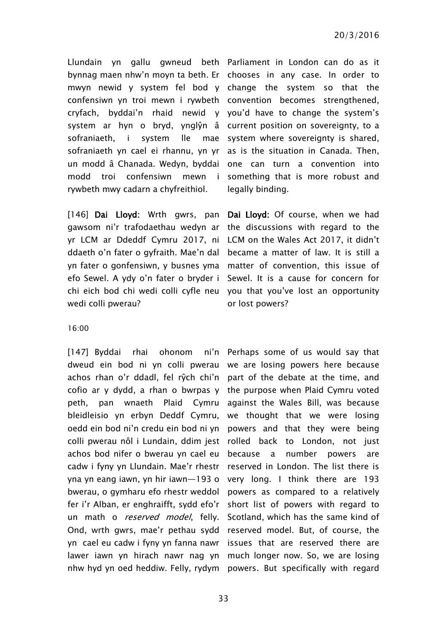Llundain yn gallu gwneud beth Parliament in London can do as it bynnag maen nhw'n moyn ta beth. Er chooses in any case. In order to mwyn newid y system fel bod y change the system so that the confensiwn yn troi mewn i rywbeth convention becomes strengthened, cryfach, byddai'n rhaid newid y you'd have to change the system's system ar hyn o bryd, ynglŷn â current position on sovereignty, to a sofraniaeth, i system lle sofraniaeth yn cael ei rhannu, yn yr as is the situation in Canada. Then, un modd â Chanada. Wedyn, byddai one can turn a convention into modd troi confensiwn mewn i something that is more robust and rywbeth mwy cadarn a chyfreithiol.

[146] Dai Lloyd: Wrth gwrs, pan Dai Lloyd: Of course, when we had gawsom ni'r trafodaethau wedyn ar the discussions with regard to the yr LCM ar Ddeddf Cymru 2017, ni LCM on the Wales Act 2017, it didn't ddaeth o'n fater o gyfraith. Mae'n dal became a matter of law. It is still a yn fater o gonfensiwn, y busnes yma matter of convention, this issue of efo Sewel. A ydy o'n fater o bryder i Sewel. It is a cause for concern for chi eich bod chi wedi colli cyfle neu you that you've lost an opportunity wedi colli pwerau?

mae system where sovereignty is shared, legally binding.

or lost powers?

#### 16:00

[147] Byddai rhai ohonom dweud ein bod ni yn colli pwerau we are losing powers here because achos rhan o'r ddadl, fel rŷch chi'n part of the debate at the time, and cofio ar y dydd, a rhan o bwrpas y the purpose when Plaid Cymru voted peth, pan wnaeth Plaid bleidleisio yn erbyn Deddf Cymru, oedd ein bod ni'n credu ein bod ni yn powers and that they were being colli pwerau nôl i Lundain, ddim jest rolled back to London, not just achos bod nifer o bwerau yn cael eu cadw i fyny yn Llundain. Mae'r rhestr reserved in London. The list there is yna yn eang iawn, yn hir iawn—193 o very long. I think there are 193 bwerau, o gymharu efo rhestr weddol powers as compared to a relatively fer i'r Alban, er enghraifft, sydd efo'r un math o *reserved model*, felly. Ond, wrth gwrs, mae'r pethau sydd reserved model. But, of course, the yn cael eu cadw i fyny yn fanna nawr issues that are reserved there are lawer iawn yn hirach nawr nag yn much longer now. So, we are losing nhw hyd yn oed heddiw. Felly, rydym powers. But specifically with regard

ni'n Perhaps some of us would say that Cymru against the Wales Bill, was because we thought that we were losing because a number powers are short list of powers with regard to Scotland, which has the same kind of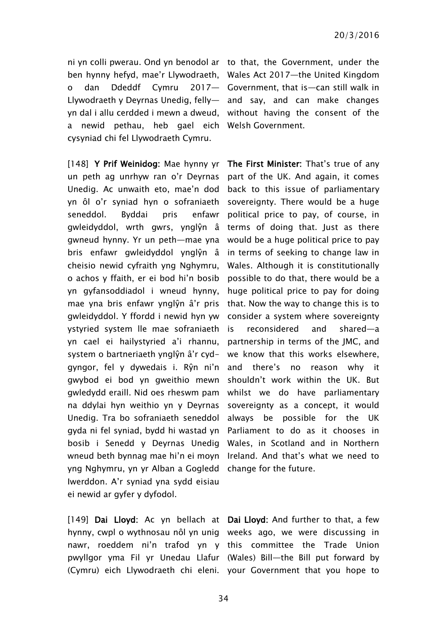ni yn colli pwerau. Ond yn benodol ar to that, the Government, under the ben hynny hefyd, mae'r Llywodraeth, Wales Act 2017—the United Kingdom o dan Ddeddf Cymru Llywodraeth y Deyrnas Unedig, felly— and say, and can make changes yn dal i allu cerdded i mewn a dweud, without having the consent of the a newid pethau, heb gael eich Welsh Government. cysyniad chi fel Llywodraeth Cymru.

un peth ag unrhyw ran o'r Deyrnas Unedig. Ac unwaith eto, mae'n dod yn ôl o'r syniad hyn o sofraniaeth seneddol. Byddai pris enfawr gwleidyddol, wrth gwrs, ynglŷn â gwneud hynny. Yr un peth—mae yna would be a huge political price to pay bris enfawr gwleidyddol ynglŷn â cheisio newid cyfraith yng Nghymru, o achos y ffaith, er ei bod hi'n bosib yn gyfansoddiadol i wneud hynny, mae yna bris enfawr ynglŷn â'r pris gwleidyddol. Y ffordd i newid hyn yw ystyried system lle mae sofraniaeth yn cael ei hailystyried a'i rhannu, system o bartneriaeth ynglŷn â'r cydgyngor, fel y dywedais i. Rŷn ni'n gwybod ei bod yn gweithio mewn gwledydd eraill. Nid oes rheswm pam na ddylai hyn weithio yn y Deyrnas Unedig. Tra bo sofraniaeth seneddol gyda ni fel syniad, bydd hi wastad yn bosib i Senedd y Deyrnas Unedig wneud beth bynnag mae hi'n ei moyn Ireland. And that's what we need to yng Nghymru, yn yr Alban a Gogledd change for the future. Iwerddon. A'r syniad yna sydd eisiau ei newid ar gyfer y dyfodol.

[149] Dai Lloyd: Ac yn bellach at Dai Lloyd: And further to that, a few hynny, cwpl o wythnosau nôl yn unig weeks ago, we were discussing in nawr, roeddem ni'n trafod yn y this committee the Trade Union pwyllgor yma Fil yr Unedau Llafur (Wales) Bill—the Bill put forward by

2017- Government, that is-can still walk in

[148] Y Prif Weinidog: Mae hynny yr The First Minister: That's true of any part of the UK. And again, it comes back to this issue of parliamentary sovereignty. There would be a huge political price to pay, of course, in terms of doing that. Just as there in terms of seeking to change law in Wales. Although it is constitutionally possible to do that, there would be a huge political price to pay for doing that. Now the way to change this is to consider a system where sovereignty reconsidered and shared—a partnership in terms of the JMC, and we know that this works elsewhere, and there's no reason why it shouldn't work within the UK. But whilst we do have parliamentary sovereignty as a concept, it would always be possible for the UK Parliament to do as it chooses in Wales, in Scotland and in Northern

(Cymru) eich Llywodraeth chi eleni. your Government that you hope to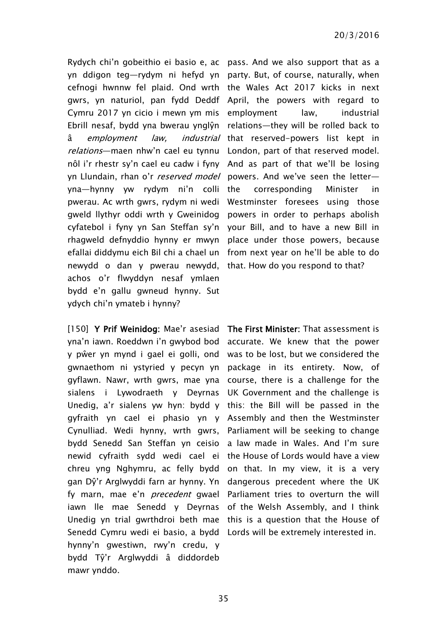Rydych chi'n gobeithio ei basio e, ac pass. And we also support that as a yn ddigon teg—rydym ni hefyd yn party. But, of course, naturally, when cefnogi hwnnw fel plaid. Ond wrth the Wales Act 2017 kicks in next gwrs, yn naturiol, pan fydd Deddf April, the powers with regard to Cymru 2017 yn cicio i mewn ym mis employment law, industrial Ebrill nesaf, bydd yna bwerau ynglŷn relations—they will be rolled back to â employment law, relations—maen nhw'n cael eu tynnu London, part of that reserved model. nôl i'r rhestr sy'n cael eu cadw i fyny And as part of that we'll be losing yn Llundain, rhan o'r *reserved model* powers. And we've seen the letter yna—hynny yw rydym ni'n colli pwerau. Ac wrth gwrs, rydym ni wedi Westminster foresees using those gweld llythyr oddi wrth y Gweinidog powers in order to perhaps abolish cyfatebol i fyny yn San Steffan sy'n your Bill, and to have a new Bill in rhagweld defnyddio hynny er mwyn place under those powers, because efallai diddymu eich Bil chi a chael un from next year on he'll be able to do newydd o dan y pwerau newydd, that. How do you respond to that? achos o'r flwyddyn nesaf ymlaen bydd e'n gallu gwneud hynny. Sut ydych chi'n ymateb i hynny?

[150] Y Prif Weinidog: Mae'r asesiad The First Minister: That assessment is yna'n iawn. Roeddwn i'n gwybod bod y pŵer yn mynd i gael ei golli, ond was to be lost, but we considered the gwnaethom ni ystyried y pecyn yn gyflawn. Nawr, wrth gwrs, mae yna sialens i Lywodraeth y Deyrnas Unedig, a'r sialens yw hyn: bydd y this: the Bill will be passed in the gyfraith yn cael ei phasio yn y Assembly and then the Westminster Cynulliad. Wedi hynny, wrth gwrs, bydd Senedd San Steffan yn ceisio newid cyfraith sydd wedi cael ei chreu yng Nghymru, ac felly bydd gan Dŷ'r Arglwyddi farn ar hynny. Yn fy marn, mae e'n *precedent* gwael Parliament tries to overturn the will iawn lle mae Senedd y Deyrnas of the Welsh Assembly, and I think Unedig yn trial gwrthdroi beth mae this is a question that the House of Senedd Cymru wedi ei basio, a bydd Lords will be extremely interested in.hynny'n gwestiwn, rwy'n credu, y bydd Tŷ'r Arglwyddi â diddordeb mawr ynddo.

industrial that reserved-powers list kept in corresponding Minister in

> accurate. We knew that the power package in its entirety. Now, of course, there is a challenge for the UK Government and the challenge is Parliament will be seeking to change a law made in Wales. And I'm sure the House of Lords would have a view on that. In my view, it is a very dangerous precedent where the UK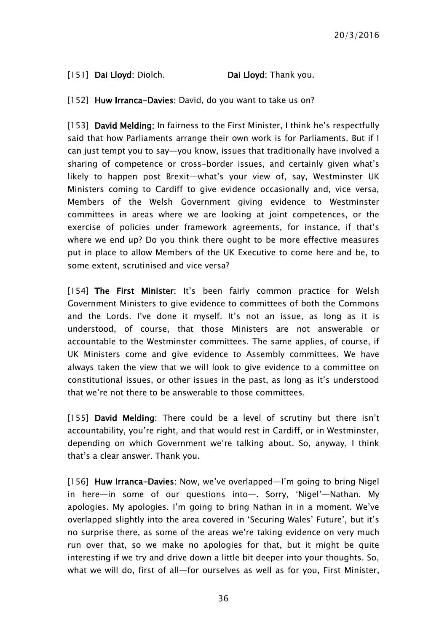#### [151] Dai Lloyd: Diolch. Dai Lloyd: Thank you.

[152] Huw Irranca-Davies: David, do you want to take us on?

[153] David Melding: In fairness to the First Minister, I think he's respectfully said that how Parliaments arrange their own work is for Parliaments. But if I can just tempt you to say—you know, issues that traditionally have involved a sharing of competence or cross-border issues, and certainly given what's likely to happen post Brexit—what's your view of, say, Westminster UK Ministers coming to Cardiff to give evidence occasionally and, vice versa, Members of the Welsh Government giving evidence to Westminster committees in areas where we are looking at joint competences, or the exercise of policies under framework agreements, for instance, if that's where we end up? Do you think there ought to be more effective measures put in place to allow Members of the UK Executive to come here and be, to some extent, scrutinised and vice versa?

[154] The First Minister: It's been fairly common practice for Welsh Government Ministers to give evidence to committees of both the Commons and the Lords. I've done it myself. It's not an issue, as long as it is understood, of course, that those Ministers are not answerable or accountable to the Westminster committees. The same applies, of course, if UK Ministers come and give evidence to Assembly committees. We have always taken the view that we will look to give evidence to a committee on constitutional issues, or other issues in the past, as long as it's understood that we're not there to be answerable to those committees.

[155] David Melding: There could be a level of scrutiny but there isn't accountability, you're right, and that would rest in Cardiff, or in Westminster, depending on which Government we're talking about. So, anyway, I think that's a clear answer. Thank you.

[156] Huw Irranca-Davies: Now, we've overlapped—I'm going to bring Nigel in here—in some of our questions into—. Sorry, 'Nigel'—Nathan. My apologies. My apologies. I'm going to bring Nathan in in a moment. We've overlapped slightly into the area covered in 'Securing Wales' Future', but it's no surprise there, as some of the areas we're taking evidence on very much run over that, so we make no apologies for that, but it might be quite interesting if we try and drive down a little bit deeper into your thoughts. So, what we will do, first of all—for ourselves as well as for you, First Minister,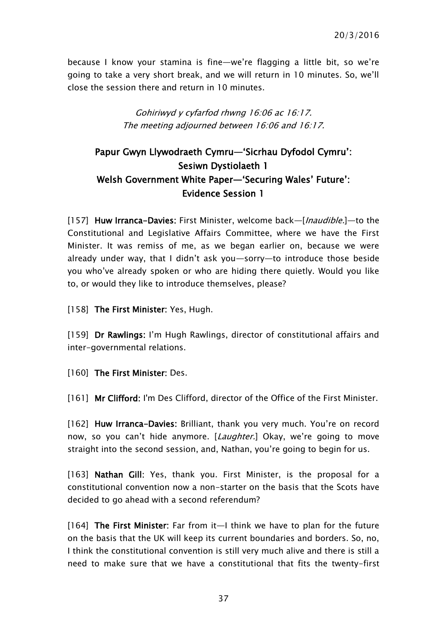because I know your stamina is fine—we're flagging a little bit, so we're going to take a very short break, and we will return in 10 minutes. So, we'll close the session there and return in 10 minutes.

> Gohiriwyd y cyfarfod rhwng 16:06 ac 16:17. The meeting adjourned between 16:06 and 16:17.

# <span id="page-36-0"></span>Papur Gwyn Llywodraeth Cymru—'Sicrhau Dyfodol Cymru': Sesiwn Dystiolaeth 1 Welsh Government White Paper—'Securing Wales' Future': Evidence Session 1

[157] Huw Irranca-Davies: First Minister, welcome back—[*Inaudible*.]—to the Constitutional and Legislative Affairs Committee, where we have the First Minister. It was remiss of me, as we began earlier on, because we were already under way, that I didn't ask you—sorry—to introduce those beside you who've already spoken or who are hiding there quietly. Would you like to, or would they like to introduce themselves, please?

[158] The First Minister: Yes, Hugh.

[159] Dr Rawlings: I'm Hugh Rawlings, director of constitutional affairs and inter-governmental relations.

[160] The First Minister: Des.

[161] Mr Clifford: I'm Des Clifford, director of the Office of the First Minister.

[162] Huw Irranca-Davies: Brilliant, thank you very much. You're on record now, so you can't hide anymore. [*Laughter*.] Okay, we're going to move straight into the second session, and, Nathan, you're going to begin for us.

[163] Nathan Gill: Yes, thank you. First Minister, is the proposal for a constitutional convention now a non-starter on the basis that the Scots have decided to go ahead with a second referendum?

[164] The First Minister: Far from it—I think we have to plan for the future on the basis that the UK will keep its current boundaries and borders. So, no, I think the constitutional convention is still very much alive and there is still a need to make sure that we have a constitutional that fits the twenty-first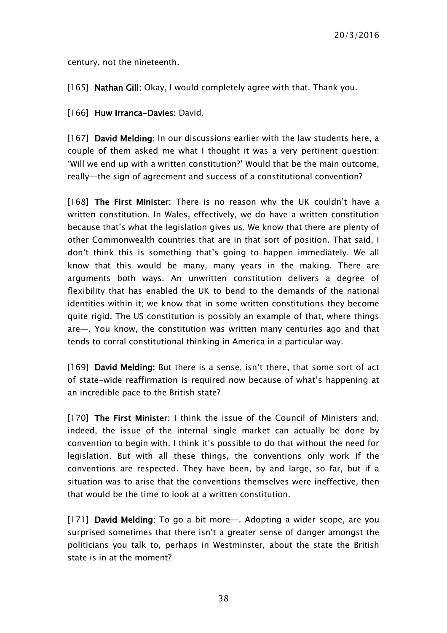century, not the nineteenth.

[165] Nathan Gill: Okay, I would completely agree with that. Thank you.

[166] Huw Irranca-Davies: David.

[167] David Melding: In our discussions earlier with the law students here, a couple of them asked me what I thought it was a very pertinent question: 'Will we end up with a written constitution?' Would that be the main outcome, really—the sign of agreement and success of a constitutional convention?

[168] The First Minister: There is no reason why the UK couldn't have a written constitution. In Wales, effectively, we do have a written constitution because that's what the legislation gives us. We know that there are plenty of other Commonwealth countries that are in that sort of position. That said, I don't think this is something that's going to happen immediately. We all know that this would be many, many years in the making. There are arguments both ways. An unwritten constitution delivers a degree of flexibility that has enabled the UK to bend to the demands of the national identities within it; we know that in some written constitutions they become quite rigid. The US constitution is possibly an example of that, where things are—. You know, the constitution was written many centuries ago and that tends to corral constitutional thinking in America in a particular way.

[169] David Melding: But there is a sense, isn't there, that some sort of act of state-wide reaffirmation is required now because of what's happening at an incredible pace to the British state?

[170] The First Minister: I think the issue of the Council of Ministers and, indeed, the issue of the internal single market can actually be done by convention to begin with. I think it's possible to do that without the need for legislation. But with all these things, the conventions only work if the conventions are respected. They have been, by and large, so far, but if a situation was to arise that the conventions themselves were ineffective, then that would be the time to look at a written constitution.

[171] David Melding: To go a bit more—. Adopting a wider scope, are you surprised sometimes that there isn't a greater sense of danger amongst the politicians you talk to, perhaps in Westminster, about the state the British state is in at the moment?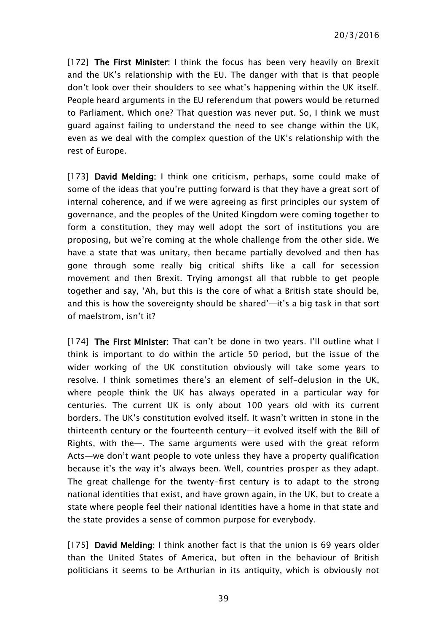[172] The First Minister: I think the focus has been very heavily on Brexit and the UK's relationship with the EU. The danger with that is that people don't look over their shoulders to see what's happening within the UK itself. People heard arguments in the EU referendum that powers would be returned to Parliament. Which one? That question was never put. So, I think we must guard against failing to understand the need to see change within the UK, even as we deal with the complex question of the UK's relationship with the rest of Europe.

[173] David Melding: I think one criticism, perhaps, some could make of some of the ideas that you're putting forward is that they have a great sort of internal coherence, and if we were agreeing as first principles our system of governance, and the peoples of the United Kingdom were coming together to form a constitution, they may well adopt the sort of institutions you are proposing, but we're coming at the whole challenge from the other side. We have a state that was unitary, then became partially devolved and then has gone through some really big critical shifts like a call for secession movement and then Brexit. Trying amongst all that rubble to get people together and say, 'Ah, but this is the core of what a British state should be, and this is how the sovereignty should be shared'—it's a big task in that sort of maelstrom, isn't it?

[174] The First Minister: That can't be done in two years. I'll outline what I think is important to do within the article 50 period, but the issue of the wider working of the UK constitution obviously will take some years to resolve. I think sometimes there's an element of self-delusion in the UK, where people think the UK has always operated in a particular way for centuries. The current UK is only about 100 years old with its current borders. The UK's constitution evolved itself. It wasn't written in stone in the thirteenth century or the fourteenth century—it evolved itself with the Bill of Rights, with the—. The same arguments were used with the great reform Acts—we don't want people to vote unless they have a property qualification because it's the way it's always been. Well, countries prosper as they adapt. The great challenge for the twenty-first century is to adapt to the strong national identities that exist, and have grown again, in the UK, but to create a state where people feel their national identities have a home in that state and the state provides a sense of common purpose for everybody.

[175] David Melding: I think another fact is that the union is 69 years older than the United States of America, but often in the behaviour of British politicians it seems to be Arthurian in its antiquity, which is obviously not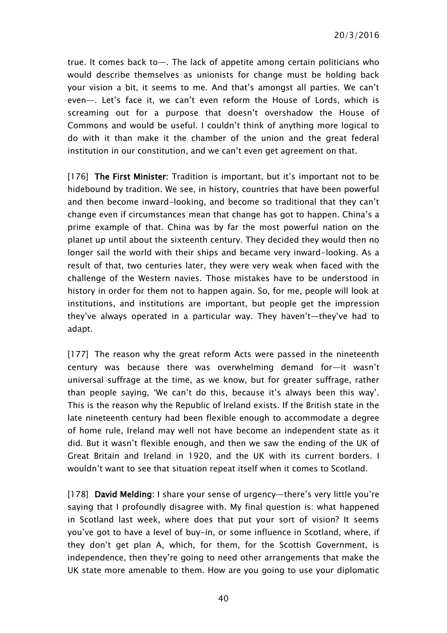true. It comes back to—. The lack of appetite among certain politicians who would describe themselves as unionists for change must be holding back your vision a bit, it seems to me. And that's amongst all parties. We can't even—. Let's face it, we can't even reform the House of Lords, which is screaming out for a purpose that doesn't overshadow the House of Commons and would be useful. I couldn't think of anything more logical to do with it than make it the chamber of the union and the great federal institution in our constitution, and we can't even get agreement on that.

[176] The First Minister: Tradition is important, but it's important not to be hidebound by tradition. We see, in history, countries that have been powerful and then become inward-looking, and become so traditional that they can't change even if circumstances mean that change has got to happen. China's a prime example of that. China was by far the most powerful nation on the planet up until about the sixteenth century. They decided they would then no longer sail the world with their ships and became very inward-looking. As a result of that, two centuries later, they were very weak when faced with the challenge of the Western navies. Those mistakes have to be understood in history in order for them not to happen again. So, for me, people will look at institutions, and institutions are important, but people get the impression they've always operated in a particular way. They haven't—they've had to adapt.

[177] The reason why the great reform Acts were passed in the nineteenth century was because there was overwhelming demand for—it wasn't universal suffrage at the time, as we know, but for greater suffrage, rather than people saying, 'We can't do this, because it's always been this way'. This is the reason why the Republic of Ireland exists. If the British state in the late nineteenth century had been flexible enough to accommodate a degree of home rule, Ireland may well not have become an independent state as it did. But it wasn't flexible enough, and then we saw the ending of the UK of Great Britain and Ireland in 1920, and the UK with its current borders. I wouldn't want to see that situation repeat itself when it comes to Scotland.

[178] David Melding: I share your sense of urgency—there's very little you're saying that I profoundly disagree with. My final question is: what happened in Scotland last week, where does that put your sort of vision? It seems you've got to have a level of buy-in, or some influence in Scotland, where, if they don't get plan A, which, for them, for the Scottish Government, is independence, then they're going to need other arrangements that make the UK state more amenable to them. How are you going to use your diplomatic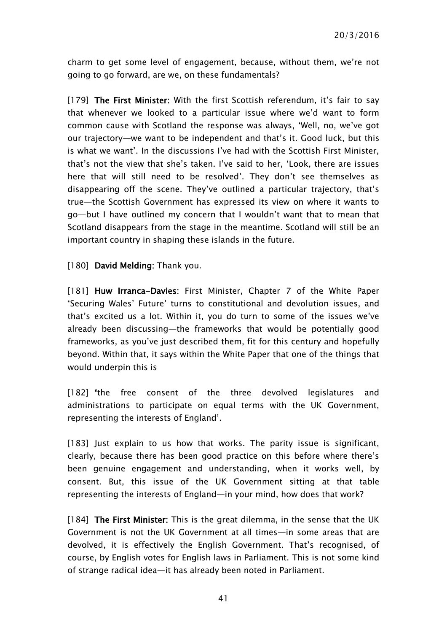charm to get some level of engagement, because, without them, we're not going to go forward, are we, on these fundamentals?

[179] The First Minister: With the first Scottish referendum, it's fair to say that whenever we looked to a particular issue where we'd want to form common cause with Scotland the response was always, 'Well, no, we've got our trajectory—we want to be independent and that's it. Good luck, but this is what we want'. In the discussions I've had with the Scottish First Minister, that's not the view that she's taken. I've said to her, 'Look, there are issues here that will still need to be resolved'. They don't see themselves as disappearing off the scene. They've outlined a particular trajectory, that's true—the Scottish Government has expressed its view on where it wants to go—but I have outlined my concern that I wouldn't want that to mean that Scotland disappears from the stage in the meantime. Scotland will still be an important country in shaping these islands in the future.

[180] David Melding: Thank you.

[181] Huw Irranca-Davies: First Minister, Chapter 7 of the White Paper 'Securing Wales' Future' turns to constitutional and devolution issues, and that's excited us a lot. Within it, you do turn to some of the issues we've already been discussing—the frameworks that would be potentially good frameworks, as you've just described them, fit for this century and hopefully beyond. Within that, it says within the White Paper that one of the things that would underpin this is

[182] 'the free consent of the three devolved legislatures and administrations to participate on equal terms with the UK Government, representing the interests of England'.

[183] Just explain to us how that works. The parity issue is significant, clearly, because there has been good practice on this before where there's been genuine engagement and understanding, when it works well, by consent. But, this issue of the UK Government sitting at that table representing the interests of England—in your mind, how does that work?

[184] The First Minister: This is the great dilemma, in the sense that the UK Government is not the UK Government at all times—in some areas that are devolved, it is effectively the English Government. That's recognised, of course, by English votes for English laws in Parliament. This is not some kind of strange radical idea—it has already been noted in Parliament.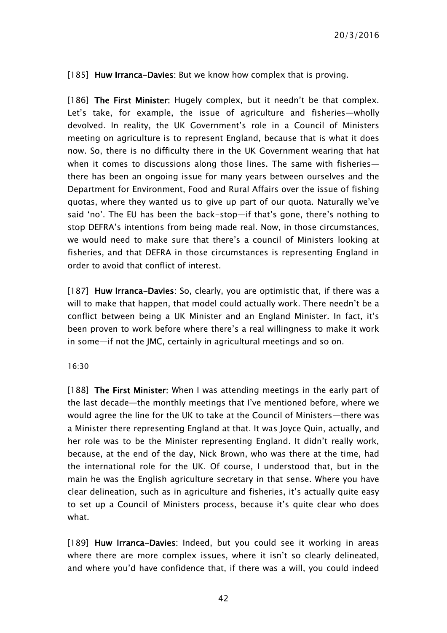[185] Huw Irranca-Davies: But we know how complex that is proving.

[186] The First Minister: Hugely complex, but it needn't be that complex. Let's take, for example, the issue of agriculture and fisheries—wholly devolved. In reality, the UK Government's role in a Council of Ministers meeting on agriculture is to represent England, because that is what it does now. So, there is no difficulty there in the UK Government wearing that hat when it comes to discussions along those lines. The same with fisheriesthere has been an ongoing issue for many years between ourselves and the Department for Environment, Food and Rural Affairs over the issue of fishing quotas, where they wanted us to give up part of our quota. Naturally we've said 'no'. The EU has been the back-stop—if that's gone, there's nothing to stop DEFRA's intentions from being made real. Now, in those circumstances, we would need to make sure that there's a council of Ministers looking at fisheries, and that DEFRA in those circumstances is representing England in order to avoid that conflict of interest.

[187] Huw Irranca-Davies: So, clearly, you are optimistic that, if there was a will to make that happen, that model could actually work. There needn't be a conflict between being a UK Minister and an England Minister. In fact, it's been proven to work before where there's a real willingness to make it work in some—if not the JMC, certainly in agricultural meetings and so on.

#### 16:30

[188] The First Minister: When I was attending meetings in the early part of the last decade—the monthly meetings that I've mentioned before, where we would agree the line for the UK to take at the Council of Ministers—there was a Minister there representing England at that. It was Joyce Quin, actually, and her role was to be the Minister representing England. It didn't really work, because, at the end of the day, Nick Brown, who was there at the time, had the international role for the UK. Of course, I understood that, but in the main he was the English agriculture secretary in that sense. Where you have clear delineation, such as in agriculture and fisheries, it's actually quite easy to set up a Council of Ministers process, because it's quite clear who does what.

[189] Huw Irranca-Davies: Indeed, but you could see it working in areas where there are more complex issues, where it isn't so clearly delineated, and where you'd have confidence that, if there was a will, you could indeed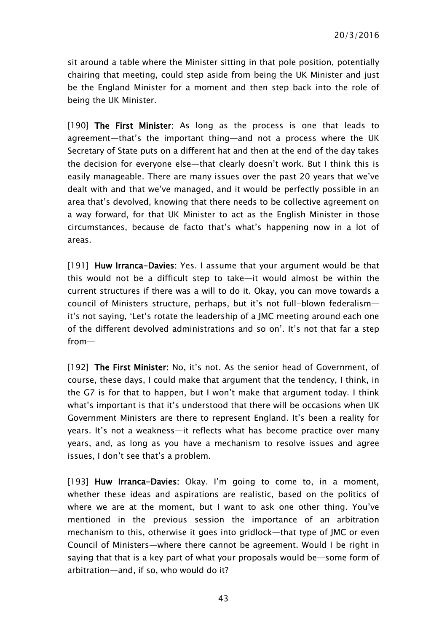sit around a table where the Minister sitting in that pole position, potentially chairing that meeting, could step aside from being the UK Minister and just be the England Minister for a moment and then step back into the role of being the UK Minister.

[190] The First Minister: As long as the process is one that leads to agreement—that's the important thing—and not a process where the UK Secretary of State puts on a different hat and then at the end of the day takes the decision for everyone else—that clearly doesn't work. But I think this is easily manageable. There are many issues over the past 20 years that we've dealt with and that we've managed, and it would be perfectly possible in an area that's devolved, knowing that there needs to be collective agreement on a way forward, for that UK Minister to act as the English Minister in those circumstances, because de facto that's what's happening now in a lot of areas.

[191] Huw Irranca-Davies: Yes. I assume that your argument would be that this would not be a difficult step to take—it would almost be within the current structures if there was a will to do it. Okay, you can move towards a council of Ministers structure, perhaps, but it's not full-blown federalism it's not saying, 'Let's rotate the leadership of a JMC meeting around each one of the different devolved administrations and so on'. It's not that far a step from—

[192] The First Minister: No, it's not. As the senior head of Government, of course, these days, I could make that argument that the tendency, I think, in the G7 is for that to happen, but I won't make that argument today. I think what's important is that it's understood that there will be occasions when UK Government Ministers are there to represent England. It's been a reality for years. It's not a weakness—it reflects what has become practice over many years, and, as long as you have a mechanism to resolve issues and agree issues, I don't see that's a problem.

[193] Huw Irranca-Davies: Okay. I'm going to come to, in a moment, whether these ideas and aspirations are realistic, based on the politics of where we are at the moment, but I want to ask one other thing. You've mentioned in the previous session the importance of an arbitration mechanism to this, otherwise it goes into gridlock—that type of JMC or even Council of Ministers—where there cannot be agreement. Would I be right in saying that that is a key part of what your proposals would be—some form of arbitration—and, if so, who would do it?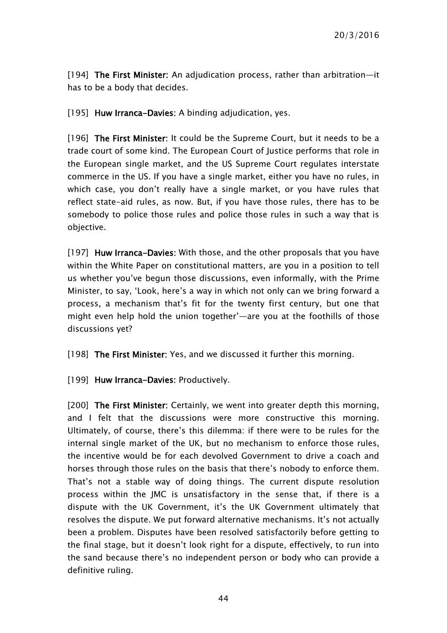[194] The First Minister: An adjudication process, rather than arbitration—it has to be a body that decides.

[195] Huw Irranca-Davies: A binding adjudication, yes.

[196] The First Minister: It could be the Supreme Court, but it needs to be a trade court of some kind. The European Court of Justice performs that role in the European single market, and the US Supreme Court regulates interstate commerce in the US. If you have a single market, either you have no rules, in which case, you don't really have a single market, or you have rules that reflect state-aid rules, as now. But, if you have those rules, there has to be somebody to police those rules and police those rules in such a way that is objective.

[197] Huw Irranca-Davies: With those, and the other proposals that you have within the White Paper on constitutional matters, are you in a position to tell us whether you've begun those discussions, even informally, with the Prime Minister, to say, 'Look, here's a way in which not only can we bring forward a process, a mechanism that's fit for the twenty first century, but one that might even help hold the union together'—are you at the foothills of those discussions yet?

[198] The First Minister: Yes, and we discussed it further this morning.

[199] Huw Irranca-Davies: Productively.

[200] The First Minister: Certainly, we went into greater depth this morning, and I felt that the discussions were more constructive this morning. Ultimately, of course, there's this dilemma: if there were to be rules for the internal single market of the UK, but no mechanism to enforce those rules, the incentive would be for each devolved Government to drive a coach and horses through those rules on the basis that there's nobody to enforce them. That's not a stable way of doing things. The current dispute resolution process within the JMC is unsatisfactory in the sense that, if there is a dispute with the UK Government, it's the UK Government ultimately that resolves the dispute. We put forward alternative mechanisms. It's not actually been a problem. Disputes have been resolved satisfactorily before getting to the final stage, but it doesn't look right for a dispute, effectively, to run into the sand because there's no independent person or body who can provide a definitive ruling.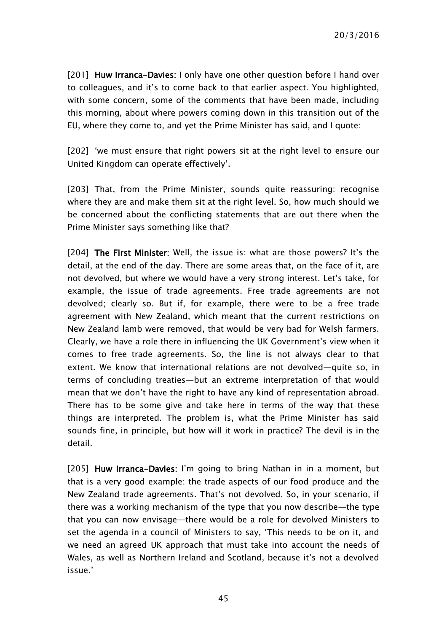[201] Huw Irranca-Davies: I only have one other question before I hand over to colleagues, and it's to come back to that earlier aspect. You highlighted, with some concern, some of the comments that have been made, including this morning, about where powers coming down in this transition out of the EU, where they come to, and yet the Prime Minister has said, and I quote:

[202] 'we must ensure that right powers sit at the right level to ensure our United Kingdom can operate effectively'.

[203] That, from the Prime Minister, sounds quite reassuring: recognise where they are and make them sit at the right level. So, how much should we be concerned about the conflicting statements that are out there when the Prime Minister says something like that?

[204] The First Minister: Well, the issue is: what are those powers? It's the detail, at the end of the day. There are some areas that, on the face of it, are not devolved, but where we would have a very strong interest. Let's take, for example, the issue of trade agreements. Free trade agreements are not devolved; clearly so. But if, for example, there were to be a free trade agreement with New Zealand, which meant that the current restrictions on New Zealand lamb were removed, that would be very bad for Welsh farmers. Clearly, we have a role there in influencing the UK Government's view when it comes to free trade agreements. So, the line is not always clear to that extent. We know that international relations are not devolved—quite so, in terms of concluding treaties—but an extreme interpretation of that would mean that we don't have the right to have any kind of representation abroad. There has to be some give and take here in terms of the way that these things are interpreted. The problem is, what the Prime Minister has said sounds fine, in principle, but how will it work in practice? The devil is in the detail.

[205] Huw Irranca-Davies: I'm going to bring Nathan in in a moment, but that is a very good example: the trade aspects of our food produce and the New Zealand trade agreements. That's not devolved. So, in your scenario, if there was a working mechanism of the type that you now describe—the type that you can now envisage—there would be a role for devolved Ministers to set the agenda in a council of Ministers to say, 'This needs to be on it, and we need an agreed UK approach that must take into account the needs of Wales, as well as Northern Ireland and Scotland, because it's not a devolved issue.'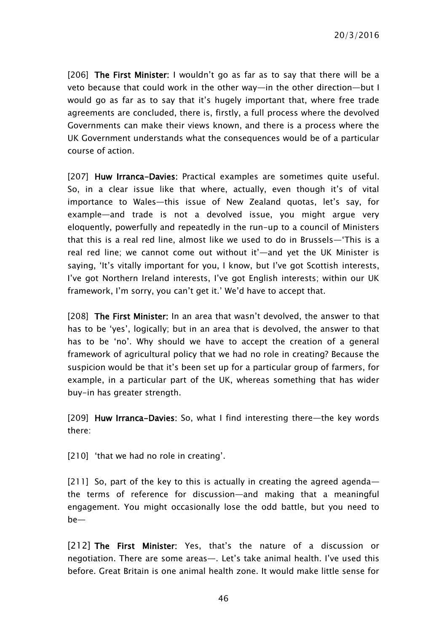[206] The First Minister: I wouldn't go as far as to say that there will be a veto because that could work in the other way—in the other direction—but I would go as far as to say that it's hugely important that, where free trade agreements are concluded, there is, firstly, a full process where the devolved Governments can make their views known, and there is a process where the UK Government understands what the consequences would be of a particular course of action.

[207] Huw Irranca-Davies: Practical examples are sometimes quite useful. So, in a clear issue like that where, actually, even though it's of vital importance to Wales—this issue of New Zealand quotas, let's say, for example—and trade is not a devolved issue, you might argue very eloquently, powerfully and repeatedly in the run-up to a council of Ministers that this is a real red line, almost like we used to do in Brussels—'This is a real red line; we cannot come out without it'—and yet the UK Minister is saying, 'It's vitally important for you, I know, but I've got Scottish interests, I've got Northern Ireland interests, I've got English interests; within our UK framework, I'm sorry, you can't get it.' We'd have to accept that.

[208] The First Minister: In an area that wasn't devolved, the answer to that has to be 'yes', logically; but in an area that is devolved, the answer to that has to be 'no'. Why should we have to accept the creation of a general framework of agricultural policy that we had no role in creating? Because the suspicion would be that it's been set up for a particular group of farmers, for example, in a particular part of the UK, whereas something that has wider buy-in has greater strength.

[209] Huw Irranca-Davies: So, what I find interesting there—the key words there:

[210] 'that we had no role in creating'.

[211] So, part of the key to this is actually in creating the agreed agendathe terms of reference for discussion—and making that a meaningful engagement. You might occasionally lose the odd battle, but you need to be—

[212] The First Minister: Yes, that's the nature of a discussion or negotiation. There are some areas—. Let's take animal health. I've used this before. Great Britain is one animal health zone. It would make little sense for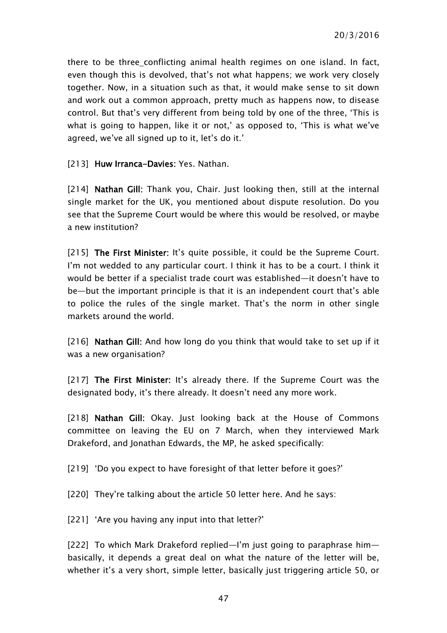there to be three conflicting animal health regimes on one island. In fact, even though this is devolved, that's not what happens; we work very closely together. Now, in a situation such as that, it would make sense to sit down and work out a common approach, pretty much as happens now, to disease control. But that's very different from being told by one of the three, 'This is what is going to happen, like it or not,' as opposed to, 'This is what we've agreed, we've all signed up to it, let's do it.'

[213] Huw Irranca-Davies: Yes. Nathan.

[214] Nathan Gill: Thank you, Chair. Just looking then, still at the internal single market for the UK, you mentioned about dispute resolution. Do you see that the Supreme Court would be where this would be resolved, or maybe a new institution?

[215] The First Minister: It's quite possible, it could be the Supreme Court. I'm not wedded to any particular court. I think it has to be a court. I think it would be better if a specialist trade court was established—it doesn't have to be—but the important principle is that it is an independent court that's able to police the rules of the single market. That's the norm in other single markets around the world.

[216] Nathan Gill: And how long do you think that would take to set up if it was a new organisation?

[217] The First Minister: It's already there. If the Supreme Court was the designated body, it's there already. It doesn't need any more work.

[218] Nathan Gill: Okay. Just looking back at the House of Commons committee on leaving the EU on 7 March, when they interviewed Mark Drakeford, and Jonathan Edwards, the MP, he asked specifically:

[219] 'Do you expect to have foresight of that letter before it goes?'

[220] They're talking about the article 50 letter here. And he says:

[221] 'Are you having any input into that letter?'

[222] To which Mark Drakeford replied—I'm just going to paraphrase him basically, it depends a great deal on what the nature of the letter will be, whether it's a very short, simple letter, basically just triggering article 50, or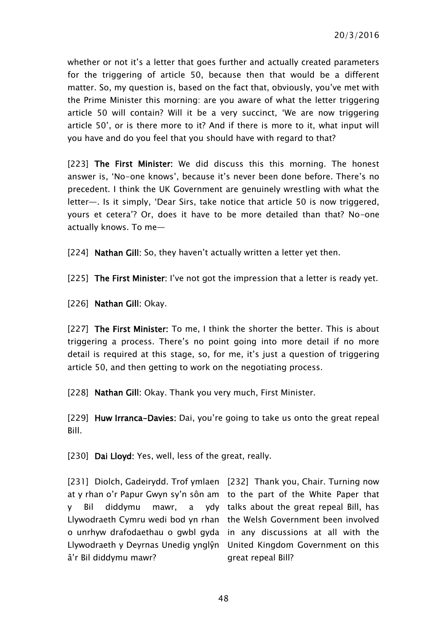whether or not it's a letter that goes further and actually created parameters for the triggering of article 50, because then that would be a different matter. So, my question is, based on the fact that, obviously, you've met with the Prime Minister this morning: are you aware of what the letter triggering article 50 will contain? Will it be a very succinct, 'We are now triggering article 50', or is there more to it? And if there is more to it, what input will you have and do you feel that you should have with regard to that?

[223] The First Minister: We did discuss this this morning. The honest answer is, 'No-one knows', because it's never been done before. There's no precedent. I think the UK Government are genuinely wrestling with what the letter—. Is it simply, 'Dear Sirs, take notice that article 50 is now triggered, yours et cetera'? Or, does it have to be more detailed than that? No-one actually knows. To me—

[224] Nathan Gill: So, they haven't actually written a letter yet then.

[225] The First Minister: I've not got the impression that a letter is ready yet.

[226] **Nathan Gill: Okay.** 

[227] The First Minister: To me, I think the shorter the better. This is about triggering a process. There's no point going into more detail if no more detail is required at this stage, so, for me, it's just a question of triggering article 50, and then getting to work on the negotiating process.

[228] Nathan Gill: Okay. Thank you very much, First Minister.

[229] Huw Irranca-Davies: Dai, you're going to take us onto the great repeal Bill.

[230] Dai Lloyd: Yes, well, less of the great, really.

[231] Diolch, Gadeirydd. Trof ymlaen [232] Thank you, Chair. Turning now at y rhan o'r Papur Gwyn sy'n sôn am to the part of the White Paper that y Bil diddymu mawr, Llywodraeth Cymru wedi bod yn rhan the Welsh Government been involved o unrhyw drafodaethau o gwbl gyda in any discussions at all with the Llywodraeth y Deyrnas Unedig ynglŷn United Kingdom Government on this â'r Bil diddymu mawr?

a ydy talks about the great repeal Bill, has great repeal Bill?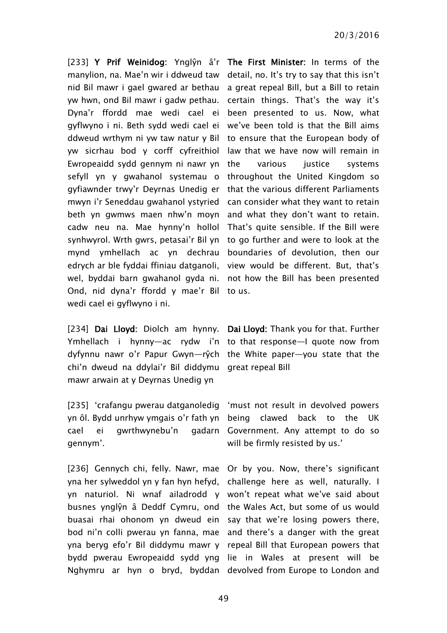[233] Y Prif Weinidog: Ynglŷn â'r The First Minister: In terms of the manylion, na. Mae'n wir i ddweud taw detail, no. It's try to say that this isn't nid Bil mawr i gael gwared ar bethau a great repeal Bill, but a Bill to retain yw hwn, ond Bil mawr i gadw pethau. Dyna'r ffordd mae wedi cael ei gyflwyno i ni. Beth sydd wedi cael ei we've been told is that the Bill aims ddweud wrthym ni yw taw natur y Bil to ensure that the European body of yw sicrhau bod y corff cyfreithiol Ewropeaidd sydd gennym ni nawr yn sefyll yn y gwahanol systemau o throughout the United Kingdom so gyfiawnder trwy'r Deyrnas Unedig er mwyn i'r Seneddau gwahanol ystyried can consider what they want to retain beth yn gwmws maen nhw'n moyn and what they don't want to retain. cadw neu na. Mae hynny'n hollol That's quite sensible. If the Bill were synhwyrol. Wrth gwrs, petasai'r Bil yn to go further and were to look at the mynd ymhellach ac yn dechrau boundaries of devolution, then our edrych ar ble fyddai ffiniau datganoli, wel, byddai barn gwahanol gyda ni. not how the Bill has been presented Ond, nid dyna'r ffordd y mae'r Bil to us. wedi cael ei gyflwyno i ni.

[234] Dai Lloyd: Diolch am hynny. Dai Lloyd: Thank you for that. Further Ymhellach i hynny—ac rydw i'n to that response—I quote now from dyfynnu nawr o'r Papur Gwyn—rŷch the White paper—you state that the chi'n dweud na ddylai'r Bil diddymu great repeal Bill mawr arwain at y Deyrnas Unedig yn

[235] 'crafangu pwerau datganoledig 'must not result in devolved powers yn ôl. Bydd unrhyw ymgais o'r fath yn cael ei gwrthwynebu'n gennym'.

[236] Gennych chi, felly. Nawr, mae Or by you. Now, there's significant yna her sylweddol yn y fan hyn hefyd, challenge here as well, naturally. I yn naturiol. Ni wnaf ailadrodd y won't repeat what we've said about busnes ynglŷn â Deddf Cymru, ond the Wales Act, but some of us would buasai rhai ohonom yn dweud ein say that we're losing powers there, bod ni'n colli pwerau yn fanna, mae and there's a danger with the great yna beryg efo'r Bil diddymu mawr y repeal Bill that European powers that bydd pwerau Ewropeaidd sydd yng lie in Wales at present will be Nghymru ar hyn o bryd, byddan devolved from Europe to London and

certain things. That's the way it's been presented to us. Now, what law that we have now will remain in the various iustice systems that the various different Parliaments view would be different. But, that's

being clawed back to the UK gadarn Government. Any attempt to do so will be firmly resisted by us.'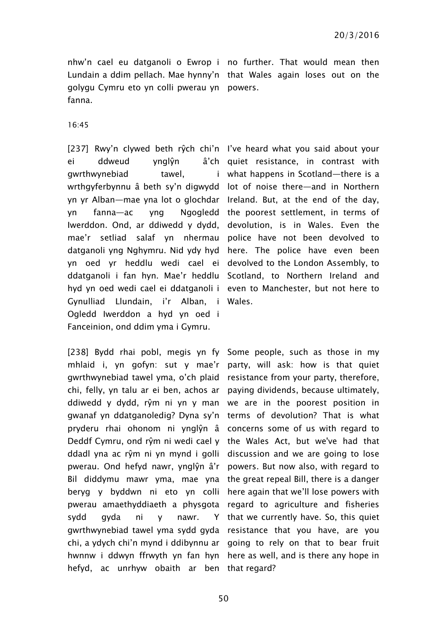nhw'n cael eu datganoli o Ewrop i no further. That would mean then Lundain a ddim pellach. Mae hynny'n that Wales again loses out on the golygu Cymru eto yn colli pwerau yn powers. fanna.

16:45

ei ddweud ynglŷn gwrthwynebiad tawel, wrthgyferbynnu â beth sy'n digwydd lot of noise there—and in Northern yn yr Alban—mae yna lot o glochdar Ireland. But, at the end of the day, yn fanna—ac yng Ngogledd the poorest settlement, in terms of Iwerddon. Ond, ar ddiwedd y dydd, devolution, is in Wales. Even the mae'r setliad salaf yn nhermau police have not been devolved to datganoli yng Nghymru. Nid ydy hyd here. The police have even been yn oed yr heddlu wedi cael ei devolved to the London Assembly, to ddatganoli i fan hyn. Mae'r heddlu Scotland, to Northern Ireland and hyd yn oed wedi cael ei ddatganoli i even to Manchester, but not here to Gynulliad Llundain, i'r Alban, i Wales. Ogledd Iwerddon a hyd yn oed i Fanceinion, ond ddim yma i Gymru.

[238] Bydd rhai pobl, megis yn fy Some people, such as those in my mhlaid i, yn gofyn: sut y mae'r party, will ask: how is that quiet gwrthwynebiad tawel yma, o'ch plaid chi, felly, yn talu ar ei ben, achos ar paying dividends, because ultimately, ddiwedd y dydd, rŷm ni yn y man gwanaf yn ddatganoledig? Dyna sy'n terms of devolution? That is what pryderu rhai ohonom ni ynglŷn â concerns some of us with regard to Deddf Cymru, ond rŷm ni wedi cael y the Wales Act, but we've had that ddadl yna ac rŷm ni yn mynd i golli discussion and we are going to lose pwerau. Ond hefyd nawr, ynglŷn â'r powers. But now also, with regard to Bil diddymu mawr yma, mae yna the great repeal Bill, there is a danger beryg y byddwn ni eto yn colli here again that we'll lose powers with pwerau amaethyddiaeth a physgota regard to agriculture and fisheries sydd gyda ni y nawr. gwrthwynebiad tawel yma sydd gyda resistance that you have, are you chi, a ydych chi'n mynd i ddibynnu ar going to rely on that to bear fruit hwnnw i ddwyn ffrwyth yn fan hyn here as well, and is there any hope in hefyd, ac unrhyw obaith ar ben that regard?

[237] Rwy'n clywed beth rŷch chi'n l've heard what you said about your a'ch quiet resistance, in contrast with what happens in Scotland—there is a

> resistance from your party, therefore, we are in the poorest position in Y that we currently have. So, this quiet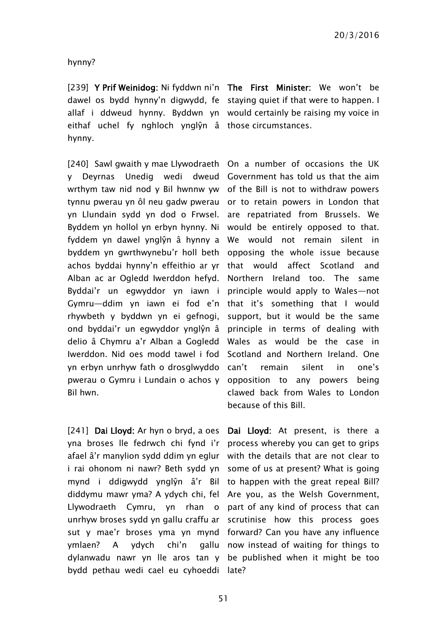hynny?

[239] Y Prif Weinidog: Ni fyddwn ni'n The First Minister: We won't be dawel os bydd hynny'n digwydd, fe staying quiet if that were to happen. I allaf i ddweud hynny. Byddwn yn would certainly be raising my voice in eithaf uchel fy nghloch ynglŷn â those circumstances. hynny.

[240] Sawl gwaith y mae Llywodraeth On a number of occasions the UK y Deyrnas Unedig wedi dweud Government has told us that the aim wrthym taw nid nod y Bil hwnnw yw of the Bill is not to withdraw powers tynnu pwerau yn ôl neu gadw pwerau or to retain powers in London that yn Llundain sydd yn dod o Frwsel. are repatriated from Brussels. We Byddem yn hollol yn erbyn hynny. Ni would be entirely opposed to that. fyddem yn dawel ynglŷn â hynny a We would not remain silent in byddem yn gwrthwynebu'r holl beth opposing the whole issue because achos byddai hynny'n effeithio ar yr that would affect Scotland and Alban ac ar Ogledd Iwerddon hefyd. Byddai'r un egwyddor yn iawn i principle would apply to Wales—not Gymru—ddim yn iawn ei fod e'n that it's something that I would rhywbeth y byddwn yn ei gefnogi, ond byddai'r un egwyddor ynglŷn â delio â Chymru a'r Alban a Gogledd Iwerddon. Nid oes modd tawel i fod yn erbyn unrhyw fath o drosglwyddo pwerau o Gymru i Lundain o achos y Bil hwn.

[241] Dai Lloyd: Ar hyn o bryd, a oes Dai Lloyd: At present, is there a yna broses lle fedrwch chi fynd i'r afael â'r manylion sydd ddim yn eglur i rai ohonom ni nawr? Beth sydd yn some of us at present? What is going mynd i ddigwydd ynglŷn â'r Bil to happen with the great repeal Bill? diddymu mawr yma? A ydych chi, fel Are you, as the Welsh Government, Llywodraeth Cymru, yn rhan o part of any kind of process that can unrhyw broses sydd yn gallu craffu ar scrutinise how this process goes sut y mae'r broses yma yn mynd forward? Can you have any influence ymlaen? A ydych chi'n dylanwadu nawr yn lle aros tan y be published when it might be too bydd pethau wedi cael eu cyhoeddi late?

Northern Ireland too. The same support, but it would be the same principle in terms of dealing with Wales as would be the case in Scotland and Northern Ireland. One can't remain silent in one's opposition to any powers being clawed back from Wales to London because of this Bill.

process whereby you can get to grips with the details that are not clear to gallu now instead of waiting for things to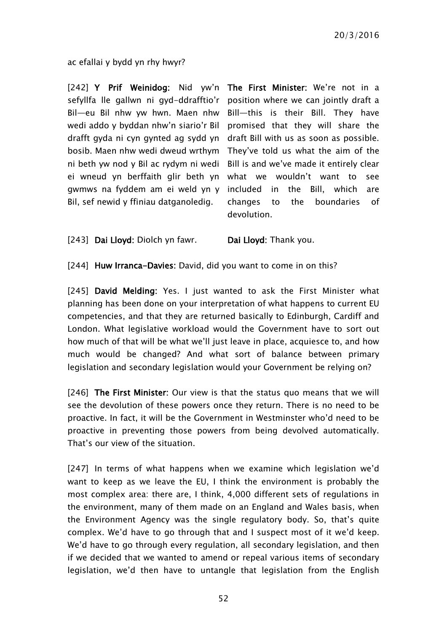ac efallai y bydd yn rhy hwyr?

[242] Y Prif Weinidog: Nid yw'n The First Minister: We're not in a sefyllfa lle gallwn ni gyd-ddrafftio'r position where we can jointly draft a Bil—eu Bil nhw yw hwn. Maen nhw Bill—this is their Bill. They have wedi addo y byddan nhw'n siario'r Bil promised that they will share the drafft gyda ni cyn gynted ag sydd yn draft Bill with us as soon as possible. bosib. Maen nhw wedi dweud wrthym They've told us what the aim of the ni beth yw nod y Bil ac rydym ni wedi Bill is and we've made it entirely clear ei wneud yn berffaith glir beth yn what we wouldn't want to see gwmws na fyddem am ei weld yn y Bil, sef newid y ffiniau datganoledig.

included in the Bill, which are changes to the boundaries of devolution.

[243] Dai Lloyd: Diolch yn fawr. Dai Lloyd: Thank you.

[244] Huw Irranca-Davies: David, did you want to come in on this?

[245] David Melding: Yes. I just wanted to ask the First Minister what planning has been done on your interpretation of what happens to current EU competencies, and that they are returned basically to Edinburgh, Cardiff and London. What legislative workload would the Government have to sort out how much of that will be what we'll just leave in place, acquiesce to, and how much would be changed? And what sort of balance between primary legislation and secondary legislation would your Government be relying on?

[246] The First Minister: Our view is that the status quo means that we will see the devolution of these powers once they return. There is no need to be proactive. In fact, it will be the Government in Westminster who'd need to be proactive in preventing those powers from being devolved automatically. That's our view of the situation.

[247] In terms of what happens when we examine which legislation we'd want to keep as we leave the EU, I think the environment is probably the most complex area: there are, I think, 4,000 different sets of regulations in the environment, many of them made on an England and Wales basis, when the Environment Agency was the single regulatory body. So, that's quite complex. We'd have to go through that and I suspect most of it we'd keep. We'd have to go through every regulation, all secondary legislation, and then if we decided that we wanted to amend or repeal various items of secondary legislation, we'd then have to untangle that legislation from the English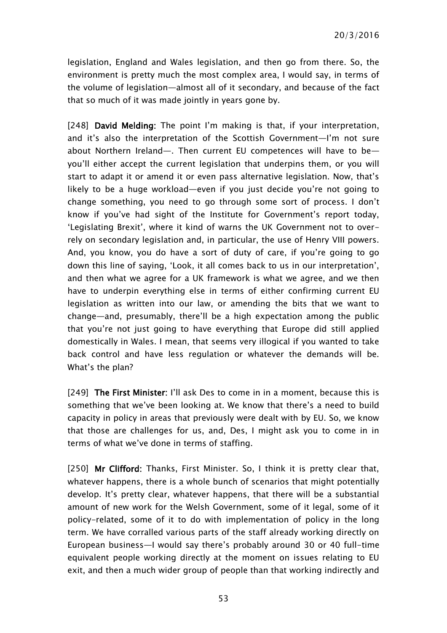legislation, England and Wales legislation, and then go from there. So, the environment is pretty much the most complex area, I would say, in terms of the volume of legislation—almost all of it secondary, and because of the fact that so much of it was made jointly in years gone by.

[248] David Melding: The point I'm making is that, if your interpretation, and it's also the interpretation of the Scottish Government—I'm not sure about Northern Ireland—. Then current EU competences will have to be you'll either accept the current legislation that underpins them, or you will start to adapt it or amend it or even pass alternative legislation. Now, that's likely to be a huge workload—even if you just decide you're not going to change something, you need to go through some sort of process. I don't know if you've had sight of the Institute for Government's report today, 'Legislating Brexit', where it kind of warns the UK Government not to overrely on secondary legislation and, in particular, the use of Henry VIII powers. And, you know, you do have a sort of duty of care, if you're going to go down this line of saying, 'Look, it all comes back to us in our interpretation', and then what we agree for a UK framework is what we agree, and we then have to underpin everything else in terms of either confirming current EU legislation as written into our law, or amending the bits that we want to change—and, presumably, there'll be a high expectation among the public that you're not just going to have everything that Europe did still applied domestically in Wales. I mean, that seems very illogical if you wanted to take back control and have less regulation or whatever the demands will be. What's the plan?

[249] The First Minister: I'll ask Des to come in in a moment, because this is something that we've been looking at. We know that there's a need to build capacity in policy in areas that previously were dealt with by EU. So, we know that those are challenges for us, and, Des, I might ask you to come in in terms of what we've done in terms of staffing.

[250] Mr Clifford: Thanks, First Minister. So, I think it is pretty clear that, whatever happens, there is a whole bunch of scenarios that might potentially develop. It's pretty clear, whatever happens, that there will be a substantial amount of new work for the Welsh Government, some of it legal, some of it policy-related, some of it to do with implementation of policy in the long term. We have corralled various parts of the staff already working directly on European business—I would say there's probably around 30 or 40 full-time equivalent people working directly at the moment on issues relating to EU exit, and then a much wider group of people than that working indirectly and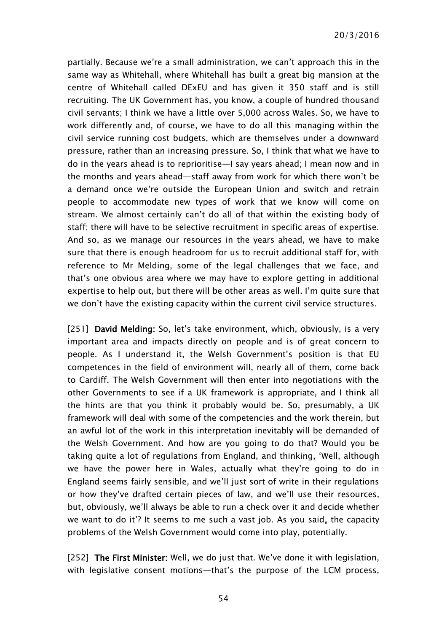partially. Because we're a small administration, we can't approach this in the same way as Whitehall, where Whitehall has built a great big mansion at the centre of Whitehall called DExEU and has given it 350 staff and is still recruiting. The UK Government has, you know, a couple of hundred thousand civil servants; I think we have a little over 5,000 across Wales. So, we have to work differently and, of course, we have to do all this managing within the civil service running cost budgets, which are themselves under a downward pressure, rather than an increasing pressure. So, I think that what we have to do in the years ahead is to reprioritise—I say years ahead; I mean now and in the months and years ahead—staff away from work for which there won't be a demand once we're outside the European Union and switch and retrain people to accommodate new types of work that we know will come on stream. We almost certainly can't do all of that within the existing body of staff; there will have to be selective recruitment in specific areas of expertise. And so, as we manage our resources in the years ahead, we have to make sure that there is enough headroom for us to recruit additional staff for, with reference to Mr Melding, some of the legal challenges that we face, and that's one obvious area where we may have to explore getting in additional expertise to help out, but there will be other areas as well. I'm quite sure that we don't have the existing capacity within the current civil service structures.

[251] David Melding: So, let's take environment, which, obviously, is a very important area and impacts directly on people and is of great concern to people. As I understand it, the Welsh Government's position is that EU competences in the field of environment will, nearly all of them, come back to Cardiff. The Welsh Government will then enter into negotiations with the other Governments to see if a UK framework is appropriate, and I think all the hints are that you think it probably would be. So, presumably, a UK framework will deal with some of the competencies and the work therein, but an awful lot of the work in this interpretation inevitably will be demanded of the Welsh Government. And how are you going to do that? Would you be taking quite a lot of regulations from England, and thinking, 'Well, although we have the power here in Wales, actually what they're going to do in England seems fairly sensible, and we'll just sort of write in their regulations or how they've drafted certain pieces of law, and we'll use their resources, but, obviously, we'll always be able to run a check over it and decide whether we want to do it'? It seems to me such a vast job. As you said, the capacity problems of the Welsh Government would come into play, potentially.

[252] The First Minister: Well, we do just that. We've done it with legislation, with legislative consent motions—that's the purpose of the LCM process,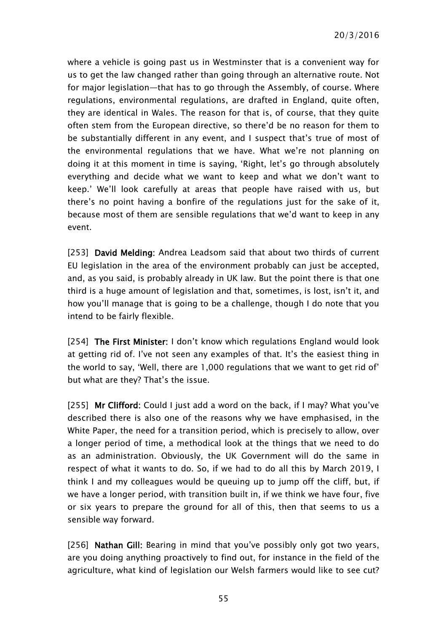where a vehicle is going past us in Westminster that is a convenient way for us to get the law changed rather than going through an alternative route. Not for major legislation—that has to go through the Assembly, of course. Where regulations, environmental regulations, are drafted in England, quite often, they are identical in Wales. The reason for that is, of course, that they quite often stem from the European directive, so there'd be no reason for them to be substantially different in any event, and I suspect that's true of most of the environmental regulations that we have. What we're not planning on doing it at this moment in time is saying, 'Right, let's go through absolutely everything and decide what we want to keep and what we don't want to keep.' We'll look carefully at areas that people have raised with us, but there's no point having a bonfire of the regulations just for the sake of it, because most of them are sensible regulations that we'd want to keep in any event.

[253] David Melding: Andrea Leadsom said that about two thirds of current EU legislation in the area of the environment probably can just be accepted, and, as you said, is probably already in UK law. But the point there is that one third is a huge amount of legislation and that, sometimes, is lost, isn't it, and how you'll manage that is going to be a challenge, though I do note that you intend to be fairly flexible.

[254] The First Minister: I don't know which regulations England would look at getting rid of. I've not seen any examples of that. It's the easiest thing in the world to say, 'Well, there are 1,000 regulations that we want to get rid of' but what are they? That's the issue.

[255] Mr Clifford: Could I just add a word on the back, if I may? What you've described there is also one of the reasons why we have emphasised, in the White Paper, the need for a transition period, which is precisely to allow, over a longer period of time, a methodical look at the things that we need to do as an administration. Obviously, the UK Government will do the same in respect of what it wants to do. So, if we had to do all this by March 2019, I think I and my colleagues would be queuing up to jump off the cliff, but, if we have a longer period, with transition built in, if we think we have four, five or six years to prepare the ground for all of this, then that seems to us a sensible way forward.

[256] Nathan Gill: Bearing in mind that you've possibly only got two years, are you doing anything proactively to find out, for instance in the field of the agriculture, what kind of legislation our Welsh farmers would like to see cut?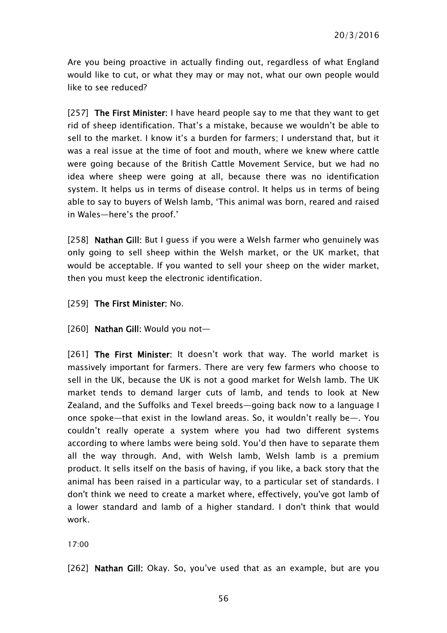Are you being proactive in actually finding out, regardless of what England would like to cut, or what they may or may not, what our own people would like to see reduced?

[257] The First Minister: I have heard people say to me that they want to get rid of sheep identification. That's a mistake, because we wouldn't be able to sell to the market. I know it's a burden for farmers; I understand that, but it was a real issue at the time of foot and mouth, where we knew where cattle were going because of the British Cattle Movement Service, but we had no idea where sheep were going at all, because there was no identification system. It helps us in terms of disease control. It helps us in terms of being able to say to buyers of Welsh lamb, 'This animal was born, reared and raised in Wales—here's the proof.'

[258] Nathan Gill: But I guess if you were a Welsh farmer who genuinely was only going to sell sheep within the Welsh market, or the UK market, that would be acceptable. If you wanted to sell your sheep on the wider market, then you must keep the electronic identification.

[259] The First Minister: No.

[260] **Nathan Gill:** Would you not-

[261] The First Minister: It doesn't work that way. The world market is massively important for farmers. There are very few farmers who choose to sell in the UK, because the UK is not a good market for Welsh lamb. The UK market tends to demand larger cuts of lamb, and tends to look at New Zealand, and the Suffolks and Texel breeds—going back now to a language I once spoke—that exist in the lowland areas. So, it wouldn't really be—. You couldn't really operate a system where you had two different systems according to where lambs were being sold. You'd then have to separate them all the way through. And, with Welsh lamb, Welsh lamb is a premium product. It sells itself on the basis of having, if you like, a back story that the animal has been raised in a particular way, to a particular set of standards. I don't think we need to create a market where, effectively, you've got lamb of a lower standard and lamb of a higher standard. I don't think that would work.

17:00

[262] Nathan Gill: Okay. So, you've used that as an example, but are you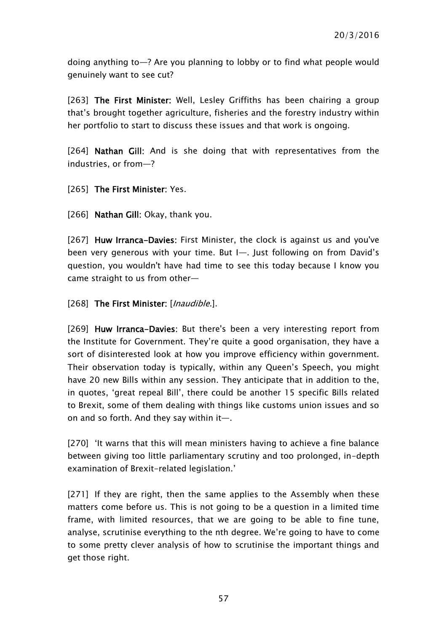doing anything to—? Are you planning to lobby or to find what people would genuinely want to see cut?

[263] The First Minister: Well, Lesley Griffiths has been chairing a group that's brought together agriculture, fisheries and the forestry industry within her portfolio to start to discuss these issues and that work is ongoing.

[264] Nathan Gill: And is she doing that with representatives from the industries, or from—?

#### [265] The First Minister: Yes.

[266] **Nathan Gill:** Okay, thank you.

[267] Huw Irranca-Davies: First Minister, the clock is against us and you've been very generous with your time. But I—. Just following on from David's question, you wouldn't have had time to see this today because I know you came straight to us from other—

[268] The First Minister: [*Inaudible.*].

[269] Huw Irranca-Davies: But there's been a very interesting report from the Institute for Government. They're quite a good organisation, they have a sort of disinterested look at how you improve efficiency within government. Their observation today is typically, within any Queen's Speech, you might have 20 new Bills within any session. They anticipate that in addition to the, in quotes, 'great repeal Bill', there could be another 15 specific Bills related to Brexit, some of them dealing with things like customs union issues and so on and so forth. And they say within it—.

[270] 'It warns that this will mean ministers having to achieve a fine balance between giving too little parliamentary scrutiny and too prolonged, in-depth examination of Brexit-related legislation.'

[271] If they are right, then the same applies to the Assembly when these matters come before us. This is not going to be a question in a limited time frame, with limited resources, that we are going to be able to fine tune, analyse, scrutinise everything to the nth degree. We're going to have to come to some pretty clever analysis of how to scrutinise the important things and get those right.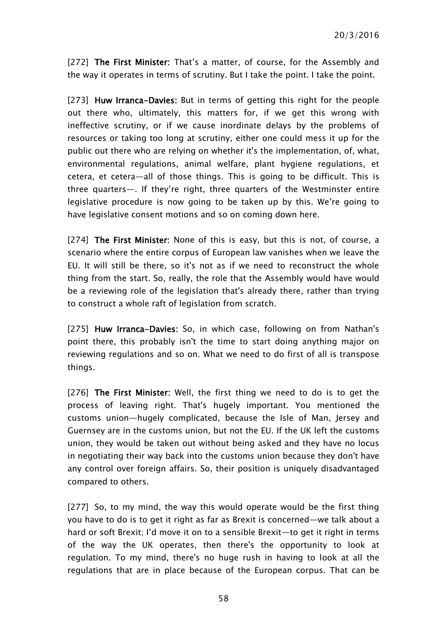[272] The First Minister: That's a matter, of course, for the Assembly and the way it operates in terms of scrutiny. But I take the point. I take the point.

[273] Huw Irranca-Davies: But in terms of getting this right for the people out there who, ultimately, this matters for, if we get this wrong with ineffective scrutiny, or if we cause inordinate delays by the problems of resources or taking too long at scrutiny, either one could mess it up for the public out there who are relying on whether it's the implementation, of, what, environmental regulations, animal welfare, plant hygiene regulations, et cetera, et cetera—all of those things. This is going to be difficult. This is three quarters—. If they're right, three quarters of the Westminster entire legislative procedure is now going to be taken up by this. We're going to have legislative consent motions and so on coming down here.

[274] The First Minister: None of this is easy, but this is not, of course, a scenario where the entire corpus of European law vanishes when we leave the EU. It will still be there, so it's not as if we need to reconstruct the whole thing from the start. So, really, the role that the Assembly would have would be a reviewing role of the legislation that's already there, rather than trying to construct a whole raft of legislation from scratch.

[275] Huw Irranca-Davies: So, in which case, following on from Nathan's point there, this probably isn't the time to start doing anything major on reviewing regulations and so on. What we need to do first of all is transpose things.

[276] The First Minister: Well, the first thing we need to do is to get the process of leaving right. That's hugely important. You mentioned the customs union—hugely complicated, because the Isle of Man, Jersey and Guernsey are in the customs union, but not the EU. If the UK left the customs union, they would be taken out without being asked and they have no locus in negotiating their way back into the customs union because they don't have any control over foreign affairs. So, their position is uniquely disadvantaged compared to others.

[277] So, to my mind, the way this would operate would be the first thing you have to do is to get it right as far as Brexit is concerned—we talk about a hard or soft Brexit; I'd move it on to a sensible Brexit—to get it right in terms of the way the UK operates, then there's the opportunity to look at regulation. To my mind, there's no huge rush in having to look at all the regulations that are in place because of the European corpus. That can be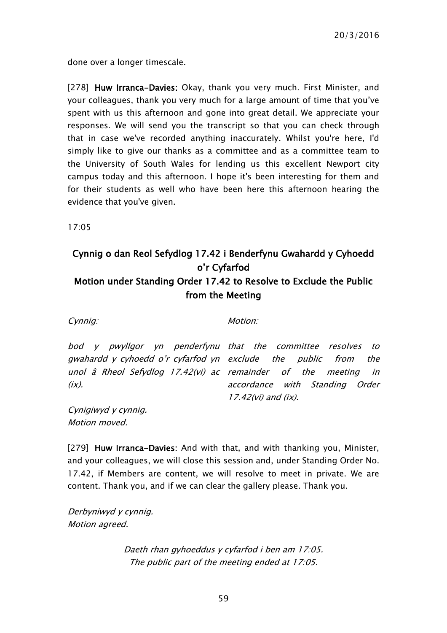done over a longer timescale.

[278] Huw Irranca-Davies: Okay, thank you very much. First Minister, and your colleagues, thank you very much for a large amount of time that you've spent with us this afternoon and gone into great detail. We appreciate your responses. We will send you the transcript so that you can check through that in case we've recorded anything inaccurately. Whilst you're here, I'd simply like to give our thanks as a committee and as a committee team to the University of South Wales for lending us this excellent Newport city campus today and this afternoon. I hope it's been interesting for them and for their students as well who have been here this afternoon hearing the evidence that you've given.

17:05

### <span id="page-58-0"></span>Cynnig o dan Reol Sefydlog 17.42 i Benderfynu Gwahardd y Cyhoedd o'r Cyfarfod Motion under Standing Order 17.42 to Resolve to Exclude the Public from the Meeting

Cynnig: Motion: Motion:

bod y pwyllgor yn penderfynu that the committee resolves to gwahardd y cyhoedd o'r cyfarfod yn exclude the public from the unol â Rheol Sefydlog 17.42(vi) ac remainder of the meeting in  $(ix)$ . accordance with Standing Order 17.42(vi) and (ix).

Cynigiwyd y cynnig. Motion moved.

[279] Huw Irranca-Davies: And with that, and with thanking you, Minister, and your colleagues, we will close this session and, under Standing Order No. 17.42, if Members are content, we will resolve to meet in private. We are content. Thank you, and if we can clear the gallery please. Thank you.

Derbyniwyd y cynnig. Motion agreed.

> Daeth rhan gyhoeddus y cyfarfod i ben am 17:05. The public part of the meeting ended at 17:05.